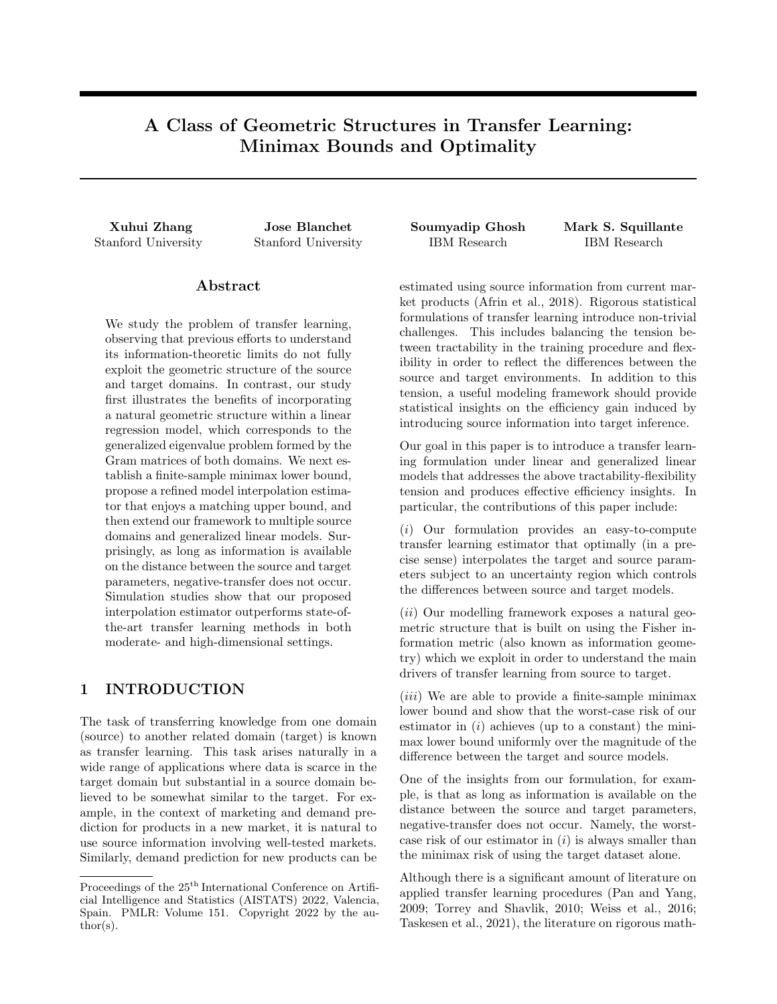# A Class of Geometric Structures in Transfer Learning: Minimax Bounds and Optimality

Stanford University Stanford University IBM Research IBM Research

## Abstract

We study the problem of transfer learning, observing that previous efforts to understand its information-theoretic limits do not fully exploit the geometric structure of the source and target domains. In contrast, our study first illustrates the benefits of incorporating a natural geometric structure within a linear regression model, which corresponds to the generalized eigenvalue problem formed by the Gram matrices of both domains. We next establish a finite-sample minimax lower bound, propose a refined model interpolation estimator that enjoys a matching upper bound, and then extend our framework to multiple source domains and generalized linear models. Surprisingly, as long as information is available on the distance between the source and target parameters, negative-transfer does not occur. Simulation studies show that our proposed interpolation estimator outperforms state-ofthe-art transfer learning methods in both moderate- and high-dimensional settings.

# 1 INTRODUCTION

The task of transferring knowledge from one domain (source) to another related domain (target) is known as transfer learning. This task arises naturally in a wide range of applications where data is scarce in the target domain but substantial in a source domain believed to be somewhat similar to the target. For example, in the context of marketing and demand prediction for products in a new market, it is natural to use source information involving well-tested markets. Similarly, demand prediction for new products can be

Xuhui Zhang Jose Blanchet Soumyadip Ghosh Mark S. Squillante

estimated using source information from current market products (Afrin et al., 2018). Rigorous statistical formulations of transfer learning introduce non-trivial challenges. This includes balancing the tension between tractability in the training procedure and flexibility in order to reflect the differences between the source and target environments. In addition to this tension, a useful modeling framework should provide statistical insights on the efficiency gain induced by introducing source information into target inference.

Our goal in this paper is to introduce a transfer learning formulation under linear and generalized linear models that addresses the above tractability-flexibility tension and produces effective efficiency insights. In particular, the contributions of this paper include:

(i) Our formulation provides an easy-to-compute transfer learning estimator that optimally (in a precise sense) interpolates the target and source parameters subject to an uncertainty region which controls the differences between source and target models.

(ii) Our modelling framework exposes a natural geometric structure that is built on using the Fisher information metric (also known as information geometry) which we exploit in order to understand the main drivers of transfer learning from source to target.

 $(iii)$  We are able to provide a finite-sample minimax lower bound and show that the worst-case risk of our estimator in  $(i)$  achieves (up to a constant) the minimax lower bound uniformly over the magnitude of the difference between the target and source models.

One of the insights from our formulation, for example, is that as long as information is available on the distance between the source and target parameters, negative-transfer does not occur. Namely, the worstcase risk of our estimator in  $(i)$  is always smaller than the minimax risk of using the target dataset alone.

Although there is a significant amount of literature on applied transfer learning procedures (Pan and Yang, 2009; Torrey and Shavlik, 2010; Weiss et al., 2016; Taskesen et al., 2021), the literature on rigorous math-

Proceedings of the  $25<sup>th</sup>$  International Conference on Artificial Intelligence and Statistics (AISTATS) 2022, Valencia, Spain. PMLR: Volume 151. Copyright 2022 by the au- $\text{thor}(s)$ .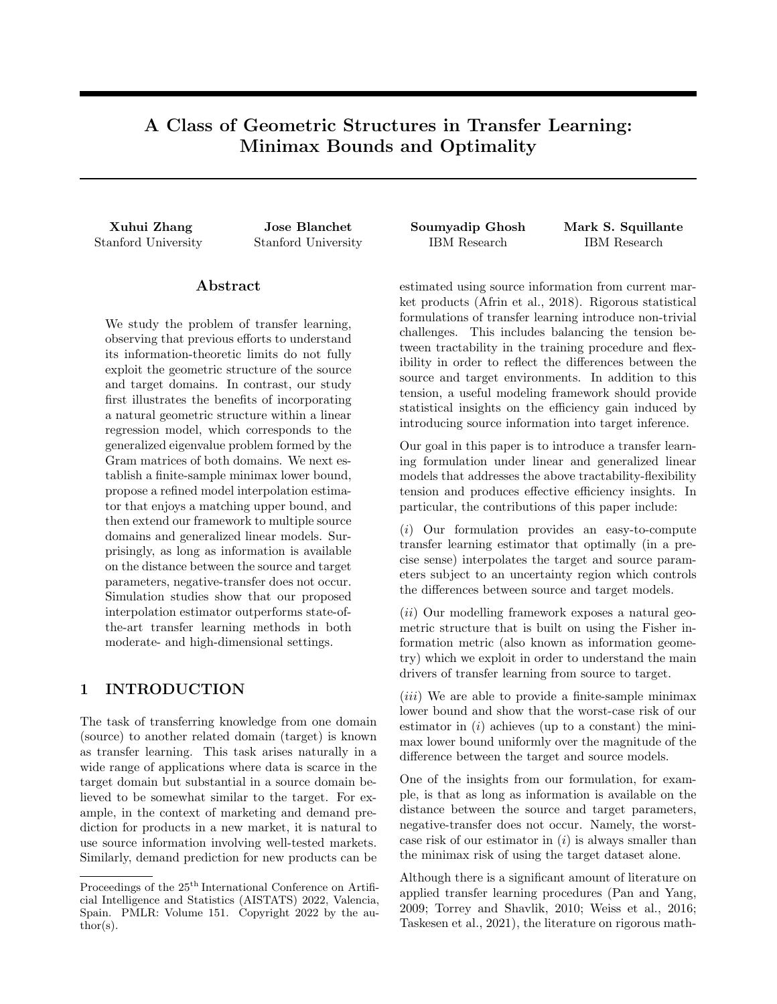ematical formulations that lead to minimax optimal estimators is limited. Cai and Wei (2021) consider transfer learning in the context of a stylized non-parametric classification setting under a different set of assumptions including a model that only allows posterior drift. Kpotufe and Martinet (2021) study classification settings similar to that of Cai and Wei (2021), albeit under covariate-shift assumptions on the difference in source and target environments. In strong contrast, while our methodology is parametric, our analysis is not limited to classification problems and it further supports more general environments including more general drift conditions between the target and source models, where indeed our analysis of the underlying geometry explicitly accounts for these differences.

Bastani (2021) considers linear and non-linear regression models similar to our work, and proposes a twostep joint estimator for transfer learning. However, their focus is on high-dimensional settings under sparsity assumptions and no minimax optimality result is established; moreover, since they use an  $l_1$  norm for the analysis, their results are not directly comparable to our results. Li et al. (2020) extend the work of Bastani (2021) to allow multiple source domains and establish a minimax lower bound for high-dimensional linear regression models (LRMs). However, their bound is asymptotic in the number of target samples, and they further constrain the difference between the source and target parameters relative to the size of the target sample. Tian and Feng (2021) further extend this work of Li et al. (2020) to high-dimensional generalized linear models (GLMs). In strong contrast, we study a fixed-difference environment without any such constraint and the performance of our optimal estimator is measured in terms of finite-sample bounds which match (up to a computable constant factor) the minimax lower bound uniformly over the magnitude of the difference between the models.

Kalan et al. (2020) consider the LRM setting and involve the spectral gap of the generalized eigenvalue problem we consider, with definitions for the population distribution of their random-design setting analogous to ours in the fixed-design setting. However, in strong contrast, our analysis handles the entire spectrum of the generalized eigenvalues and our results essentially provide a tighter lower bound in comparison with the results of Kalan et al. (2020), thus illustrating the significance of our geometric perspective.

A simulation study compares our estimator to the work of Bastani (2021), Li et al. (2020) and more direct methods commonly used in practice (e.g., pooling all available data). As our estimator is designed in a fixed-dimension setting, the simulation results confirm the strong performance of our approach in moderate dimensions. Moreover, a heuristic modification of our methods using an  $l_1$  regularization, as in Li et al. (2020) and Bastani (2021), seems to provide further improvements over these methods in the sparse highdimensional case. We plan to investigate these types of modifications as part of our future research. Finally, results based on a real-world dataset further confirm the strong performance of our approach.

To briefly summarize our approach, let us consider the linear regression transfer learning problem between a source and a target with Gaussian errors. We start the construction of our estimator by reparameterizing the linear regression estimators. Instead of expressing them in terms of the canonical bases, as is customary, we express them in terms of a generalized eigenvalue problem that arises when computing the Fisher-Rao distance using the design matrices of the source and target. This distance induces a Riemmanian geometric structure between the models. Specifically, convex combinations in the reparameterized (Riemmanian) space correspond to general interpolations in the (original space of) LRM parameters.

Our estimator is obtained from the class generated by the convex combination of estimators for the source and target in the reparameterized space. Then, we obtain the minimax estimator by maximizing over models within a given distance while minimizing over our chosen class of estimators. The minimization is carried out over convex combination parameters which are different for each coefficient. The final estimator is transformed back to the canonical basis.

For our minimax lower bound, we rely once again on the Fisher information metric and the reparameterization used in the design of our estimator. We then apply Le Cam's two-point minimax method which in our case reduces to studying two carefully designed hypotheses for each coefficient.

Section 2 presents our mathematical framework and theoretical results for transfer learning under LRMs. Then, Section 3 extends our framework to support a class of GLMs as well as multiple sources. Section 4 presents simulation results showing that our algorithm outperforms various transfer learning methods. The supplement contains additional theoretical and simulation results, related technical details, and all proofs.

# 2 LINEAR REGRESSION MODELS

We consider our mathematical framework for transfer learning within the context of LRMs. We introduce our framework and establish our theoretical results on minimax bounds in Section 2.1, where we also propose a refined model interpolation estimator that is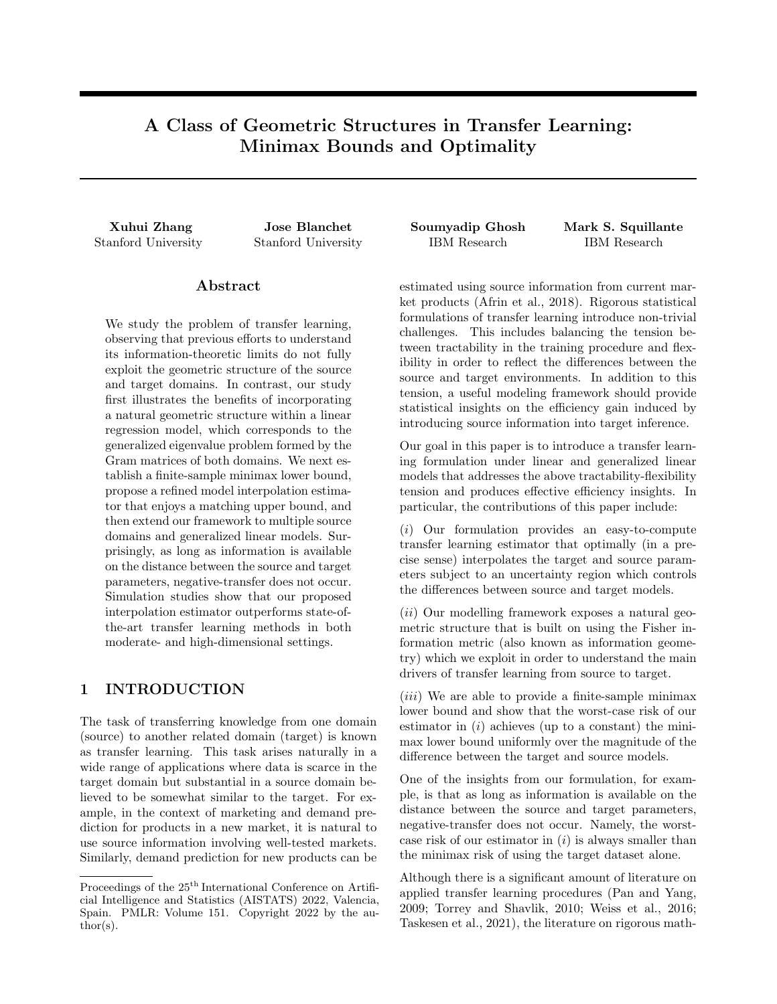minimax optimal. Then, in Section 2.2, we compare the minimax bounds to the basic approaches discussed in Daumé (2007), showing the latter to be suboptimal.

### 2.1 Mathematical Framework

Let  $X$  denote a d-dimensional feature space,  $Y$  a response space, and  $\mathcal{N}(\mu, \sigma^2)$  the normal distribution with mean  $\mu$  and variance  $\sigma^2$ . Our base source LRM can then be formally written as

$$
y_i = x_i^{\geq} \theta_S + \epsilon_i, \qquad i \; 2 \; [n_S], \tag{1}
$$

where  $\theta_{\mathcal{S}}$  2 R<sup>d</sup> is the regression coefficient for the source model,  $n<sub>S</sub>$  is the number of samples from the source model,  $x_i$  2 X are (fixed) designs and  $y_i$  2 Y are independent response samples,  $\epsilon_i$   $\mathcal{N}(0, \sigma_S^2)$  are independent noise random variables for  $i \n\partial [n_{\mathcal{S}}]$ , and  $[n] := f_1, \ldots, nq$ . Similarly, our base target LRM can be formally written as

$$
v_i = w_i^> \theta_T + \eta_i, \qquad i \ 2 \ [n \tau], \tag{2}
$$

where  $\theta_{\mathcal{T}}$  2 R<sup>d</sup> is the regression coefficient for the target model,  $n<sub>T</sub>$  is the number of samples from the target model,  $w_i \nightharpoonup X$  are (fixed) designs and  $v_i \nightharpoonup Y$  are independent response samples, and  $\eta_i$   $\mathcal{N}(0, \sigma^2_\tau)$  are independent noise random variables for  $i \n\geq \lfloor n \rceil$ . We denote the distribution of the models (1) and (2) by  $P<sub>S</sub>$  and  $P<sub>T</sub>$ , respectively.

For ease of exposition, we collect the designs and responses in (1) from the source domain into the design matrix  $X$  and the response vector  $Y$ , respectively; i.e.,  $x_i^*$  is the *i*-th row of **X** and  $y_i$  is the *i*-th element of Y. Similarly, we collect the target designs and responses in  $(2)$  into the design matrix **W** and the response vector **V**, respectively. With  $\epsilon := (\epsilon_i)_{i \geq n}$  and  $\eta := (\eta_i)_{i \geq [\eta_\tau]},$  we can then write the LRM as

$$
\mathbf{Y} = \mathbf{X}\theta_{\mathcal{S}} + \epsilon, \qquad \epsilon_i \qquad \mathcal{N}(0, \sigma_{\mathcal{S}}^2), \tag{3}
$$

$$
\mathbf{V} = \mathbf{W}\theta_{\mathcal{T}} + \eta, \qquad \eta_i \qquad \mathcal{N}(0, \sigma_{\mathcal{T}}^2). \tag{4}
$$

We consider fixed-design matrices to be (arbitrarily) different for the source and target domains, thus focusing on a combination of concept drift and a version of covariate shift best suited to the fixed-design setting, which is similar to Bastani (2021).

Our interests lie in estimating the regression coefficient  $\theta_{\mathcal{T}}$  for the target domain. Hence, we assume that the noise variance  $\sigma^2$  is known and then we consider the family of distributions (4) parameterized by  $\theta_{\mathcal{T}}$  as a manifold. Various geometries can be defined on a manifold of statistical models (Nielsen, 2020), among which the Fisher-Riemannian manifold given by the Fisher information metric tensor is particularly useful, representing the unique invariant metric tensor under Markov embeddings up to a scaling constant (Campbell, 1986). For the Gaussian location model (4), we can compute the Fisher information matrix with respect to  $\theta_{\mathcal{T}}$ , up to a scaling constant, as  $\mathbf{W}^{\geq} \mathbf{W}$ .

Given an estimate  $\widehat{\theta}$  of  $\theta_T$ , we consider the Riemannian geodesic metric distance (or the Fisher-Rao distance) as a principled way to measure the dissimilarity of  $\widehat{\theta}$  to the (unknown) ground truth  $\theta_{\mathcal{T}}$ . We therefore define the loss function  $\ell(\widehat{\theta}, \theta_{\mathcal{T}})$  as

$$
\ell(\widehat{\theta}, \theta_{\mathcal{T}}) = (\widehat{\theta} \quad \theta_{\mathcal{T}})^{>} (\mathbf{W}^{\geq} \mathbf{W})(\widehat{\theta} \quad \theta_{\mathcal{T}}). \tag{5}
$$

Such a loss function was used and termed "prediction loss" in Lee and Courtade (2020) without the above geometrical motivation. However, as we will show, the geometric structure of the source and target models can play an important role in transfer learning, in particular, the discrepancy between the Fisher-Rao distances induced by the models (3) and (4).

We aim to employ minimax theory to establish the optimality of statistical learning procedures. Given an estimator  $\theta$  arising from any learning procedure, we consider its worst-case risk over an uncertainty set of plausible distributions; refer to (Tsybakov, 2008, Chapter 2). In the transfer learning setting, one natural uncertainty set is given by all source and target distributions whose dissimilarity is upper-bounded. However, instead of the  $l_0$  or  $l_1$ -norm typically used in the high-dimensional setting (Tian and Feng, 2021; Bastani, 2021; Li et al., 2020), we characterize the dissimilarity between  $\theta_{\mathcal{S}}$  and  $\theta_{\mathcal{T}}$  in terms of the Fisher-Rao distance induced by (4), and thus the transfer learning uncertainty set is given by  $fD(\theta_{\mathcal{S}}, \theta_{\mathcal{T}})$   $U^2g$  where

$$
D(\theta_{\mathcal{S}}, \theta_{\mathcal{T}}) = (\theta_{\mathcal{S}} \quad \theta_{\mathcal{T}})^{>} (\mathbf{W}^{\geq} \mathbf{W})(\theta_{\mathcal{S}} \quad \theta_{\mathcal{T}}). \tag{6}
$$

While our approach is based on knowledge of  $U$ , we note that requirements of knowing certain population quantities to rigorously prove optimality are also prevalent in recent studies such as Bastani (2021), Cai and Wei (2021), Li et al. (2020), Tian and Feng (2021).

We further remark that the form of  $D(\theta_S, \theta_T)$  in (6) is chosen for the convenience of our analysis, though more general forms are available to us. In fact, for our analysis to go through, it suffices to choose

$$
D(\theta_{\mathcal{S}}, \theta_{\mathcal{T}}) = (\theta_{\mathcal{S}} \quad \theta_{\mathcal{T}})^> \mathbf{O}(\theta_{\mathcal{S}} \quad \theta_{\mathcal{T}}),
$$

for **O** positive-definite, and where  $(\mathbf{W}^{\geq}\mathbf{W})^{-1}\mathbf{O}$  commutes with  $(\mathbf{W}^{\geq}\mathbf{W})^{-1}\mathbf{X}^{\geq}\mathbf{X}$ .

These ingredients lead to the minimax risk formulation

$$
R = \inf_{\mathbf{b}} \sup_{D(\mathbf{s}, \tau)} \mathbb{E}_{P_{\mathbf{S}}, P_{\mathcal{T}}} [\ell(\hat{\theta}, \theta_{\mathcal{T}})]. \tag{7}
$$

Our minimax risk takes the infimum over all estimators  $\theta$  given the data and takes the supremum over all pairs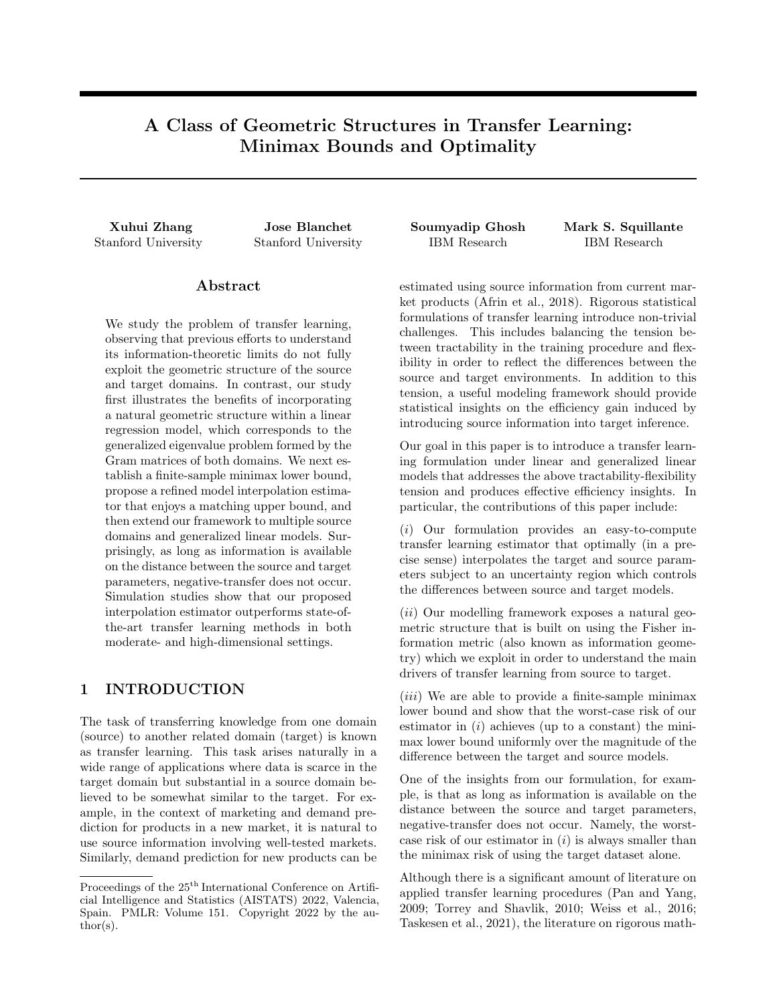$(\theta_{\mathcal{S}}, \theta_{\mathcal{T}})$  whose distance (6) is bounded by  $U^2$ . Fixing some  $\theta_{\mathcal{S}}$  implies that samples from the source domain are not useful, whereas we establish minimax bounds with the finiteness of both source and target samples playing a role, consistent with the existing literature.

In order to determine  $R$ , we obtain an upper bound  $B$  and a lower bound  $L$  on  $R$ . Note that the maximum risk of any estimator provides an upper bound. Hence, we first construct a novel estimator that utilizes the geometric structure of the source and target models, and then derive a matching lower bound (up to a constant factor) using Le Cam's method (Tsybakov, 2008, Chapter 2). We make the following assumption throughout the rest of Section 2.1.

Assumption 2.1. The Gram matrix  $W^{\geq}W$  corresponding to the target model is positive-de nite.

### 2.1.1 Derivation of the Upper Bound

The key to obtain a tight upper bound  $B$  is to note that the geometric structural difference between the Fisher-Riemannian manifolds induced by the models (3) and (4) is fully described by the generalized eigenvalue problem of the pencil  $(X^{\geq}X, W^{\geq}W)$ ; refer to Golub and Van Loan (2013). Specifically, we have

$$
\mathbf{X}^{\geq} \mathbf{X} e_i = \lambda_i \mathbf{W}^{\geq} \mathbf{W} e_i,
$$

with eigenvalues  $\lambda_i$  arranged in descending order and eigenvectors  $E = (e_1, \ldots, e_d)$  normalized so that

$$
E^>(\mathbf{W}^>\mathbf{W})E=I, \quad E^>(\mathbf{X}^>\mathbf{X})E=\mathrm{diag}(\lambda_1,\ldots,\lambda_d).
$$

These eigenvectors represent the directions of the spread of designs with the corresponding eigenvalues representing the relative magnitude of the spread in these directions. The generalized eigenvalue problem has been previously used to define suitable loss functions for positive definite matrices, such as the Förstner metric (Förstner and Moonen, 2003) and Stein's loss (James and Stein, 1992).

Next, let us write  $\theta_{\mathcal{S}}$  and  $\theta_{\mathcal{T}}$  in the eigenbasis E as

$$
\theta_S = E\beta_S, \qquad \theta_T = E\beta_T,\tag{8}
$$

respectively, and thus the problem is given by

$$
\mathbf{Y} = (\mathbf{X}E)\beta_{\mathcal{S}} + \epsilon, \qquad \epsilon_i \qquad \mathcal{N}(0, \sigma_{\mathcal{S}}^2), \tag{9}
$$

$$
\mathbf{V} = (\mathbf{W}E)\beta_T + \eta, \qquad \eta_i \qquad \mathcal{N}(0, \sigma_T^2), \qquad (10)
$$

$$
\ell(\widehat{\theta}, \theta_{\mathcal{T}}) = \tilde{\ell}(\widehat{\beta}, \beta_{\mathcal{T}}) = k\widehat{\beta} \quad \beta_{\mathcal{T}} k_2^2,
$$
  

$$
D(\theta_S, \theta_{\mathcal{T}}) = \tilde{D}(\beta_S, \beta_{\mathcal{T}}) = k\beta_S \quad \beta_{\mathcal{T}} k_2^2,
$$

where  $\hat{\theta} = E\hat{\beta}$ . Hence, it is more convenient to work with the following reparameterization of the original formulation in (7):

$$
\inf_{\mathsf{b}} \sup_{\mathsf{D}(\mathsf{s}; \tau)} \mathsf{E}_{\mathsf{P}_{\mathsf{S}}:\mathsf{P}_{\mathsf{T}}}[\tilde{\ell}(\hat{\beta}, \beta_{\mathsf{T}})]. \tag{11}
$$

Denote by  $\widehat{\beta}_{\mathsf{S}}$  and  $\widehat{\beta}_{\mathcal{T}}$  the ordinary least squares estimate for problems (9) and (10), respectively; namely,

$$
\widehat{\beta}_{S} = (E^{\geq} \mathbf{X}^{\geq} \mathbf{X} E)^{-1} E^{\geq} \mathbf{X}^{\geq} \mathbf{Y},
$$

$$
\widehat{\beta}_{T} = (E^{\geq} \mathbf{W}^{\geq} \mathbf{W} E)^{-1} E^{\geq} \mathbf{W}^{\geq} \mathbf{V}.
$$

Our proposed model averaging estimator then interpolates  $\beta_S$  and  $\beta_T$  coordinate-wise, i.e., we have

$$
\widehat{\theta}_{t_1,\dots,t_d} = E\widehat{\beta}_{t_1,\dots,t_d}, \n\widehat{\beta}_{t_1,\dots,t_d} = \text{diag}(t_1,\dots,t_d)\widehat{\beta}_{S} \n+ \text{diag}(1 \quad t_1,\dots,1 \quad t_d)\widehat{\beta}_{T}, \qquad t_i \geq [0,1].
$$
\n(12)

We have the following main result for an upper bound B on problem (7), or equivalently on problem (11).

Theorem 2.1. Under Assumption 2.1, an upper bound  $B$  is given by

$$
\inf_{t_1,\ldots,t_d} \sup_{D(-s;\tau)} \mathbb{E}_{P_{\mathcal{S}};P_{\mathcal{T}}}[\ell(\widehat{\theta}_{t_1,\ldots,t_d},\theta_{\mathcal{T}})] \tag{13}
$$

$$
= \sum_{i=1}^{d} \frac{1}{\frac{1}{\tau_i^2} + \frac{1}{\tau_i^2 U^2 + \frac{2}{\tau_i^2}}}, \quad (14)
$$

where

$$
\alpha_i^2 = \begin{cases} \sum_{j=i}^{K^2} \kappa_j + \frac{1}{K^2 + 1} (1 - \sum_{j=1}^{K^2} j \kappa_j) & \text{if } i = K^2 + 1, \\ 0 & \text{if } i > K^2 + 1, \end{cases}
$$

$$
K^2 = \mathsf{P}_{\frac{K}{i-1} \mid i = 1, 0} \mathsf{R}_{i} \mathsf{R}_{i}
$$

$$
\kappa_i = \frac{\sigma_S^2}{U^2} (\frac{1}{\lambda_{i+1}} - \frac{1}{\lambda_i}), \qquad i = 1, ..., d - 1.
$$

Moreover, the optimal estimator  $\theta_{t_1^2, ..., t_d^2}$  satis es

$$
t_i^2 = \frac{\sigma_T^2}{\sigma_T^2 + \alpha_i^2 U^2 + \frac{\frac{2}{5}}{i}}.\tag{15}
$$

Sketch of Proof: Problem (13) can be reformulated into the following finite-dimensional optimization:

$$
\inf_{t_i \geq [0,1]} \sup_{t_i \geq 0, \atop t_i \geq 0} \sup_{t_i \geq 1} \sum_{i=1}^d t_i^2 \left( \frac{\sigma_S^2}{\lambda_i} + \alpha_i U^2 \right) + (1-t_i)^2 \sigma_T^2.
$$

Since the objective function is convex in  $t_i$  and concave in  $\alpha_i$ , by Sion's minimax theorem (Sion, 1958) we can swap the infimum and supremum to obtain (and, moreover, a pair of Nash equilibrium exists for)

$$
\sup_{i=0,\ \sum_{i=1}^{J} \mu_i = 1} \inf_{t_i \geq [0,1]} \sum_{i=1}^{d} t_i^2 \left( \frac{\sigma_S^2}{\lambda_i} + \alpha_i U^2 \right) + (1-t_i)^2 \sigma_T^2.
$$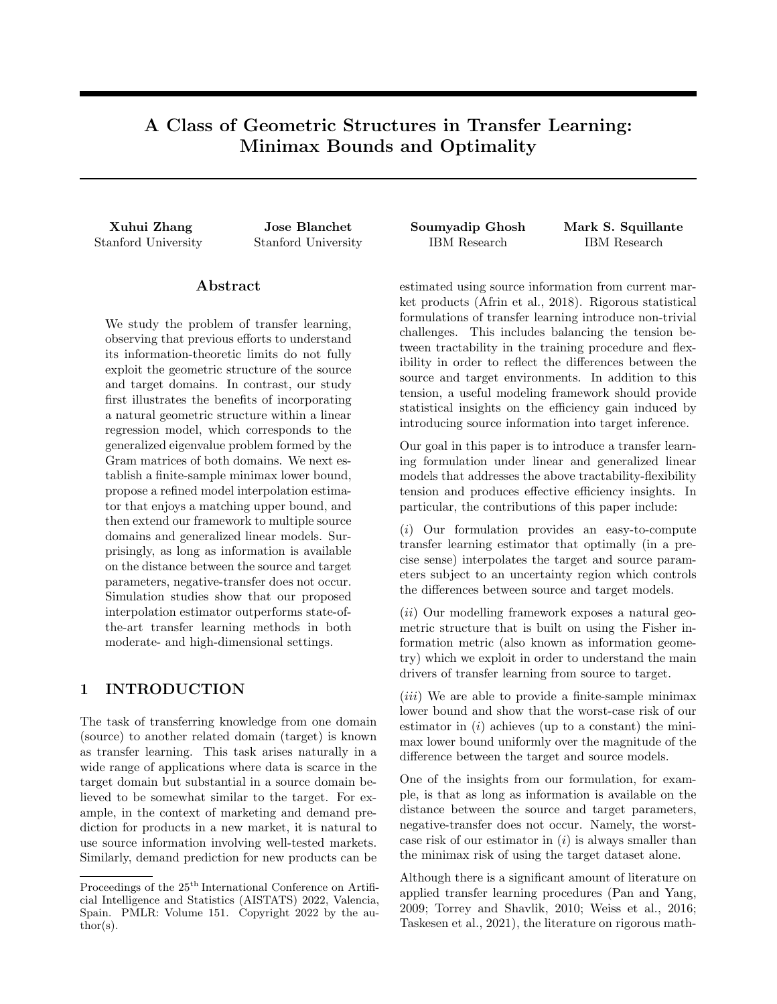The inner problem is quadratic and easy to solve, and thus we arrive at

$$
\sup_{i=0,\frac{1}{r}}\sum_{i=1}^{d}\frac{1}{\frac{1}{i-1}+\frac{1}{i}}\frac{1}{\frac{1}{r}+\frac{1}{i}u^{2}+\frac{2}{i}}.
$$

which again has an explicit solution.

### 2.1.2 Derivation of the Lower Bound

Utilizing the coordinate transformation (8) and results from Theorem 2.1, we next have the following main result for a lower bound  $L$  on problem  $(7)$ , or equivalently on problem (11).

Theorem 2.2. Under Assumption 2.1, a lower bound L is given by

$$
\inf_{\text{b}} \sup_{D(s;\tau)} \mathbb{E}_{P_{\text{S}}; P_{\tau}} [\ell(\hat{\theta}, \theta_{\tau})]
$$
\n
$$
\frac{\exp\left(-\frac{1}{2}\right)}{16} \sum_{i=1}^{d} \frac{1}{\frac{1}{\tau} + \frac{1}{\hat{\jmath}U^{2} + \frac{2}{\tau}}}. \quad (16)
$$

Sketch of Proof: It is more convenient to work with the reparametrization (11), which is lower bounded by

$$
\inf_{\mathbf{b}} \sup_{((\mathbf{s})_i - (\tau)_i)^2} \mathbb{E}_{P_{\mathbf{s}}, P_{\tau}}[\tilde{\ell}(\hat{\beta}, \beta_{\tau})]
$$
\n
$$
\sum_{i=1}^d \inf_{\mathbf{b}_i - ((\mathbf{s})_i - (\tau)_i)^2} \sup_{\tilde{\ell}} \mathbb{E}_{P_{\mathbf{s}}, P_{\tau}}[(\hat{\beta}_i - (\beta_{\tau})_i)^2].
$$
\n(17)

We note that  $(E^{\geq}X^{\geq}Y)_i$  and  $(E^{\geq}W^{\geq}V)_i$  are sufficient statistics for  $(\beta_S)_i$  and  $(\beta_{\tau})_i$ , respectively, and

$$
(E^{\geq}\mathbf{X}^{\geq}\mathbf{Y})_i = \lambda_i(\beta_S)_i + \tilde{\epsilon}_i, \quad \tilde{\epsilon}_i \quad \mathcal{N}(0, \lambda_i \sigma_S^2),
$$
  

$$
(E^{\geq}\mathbf{W}^{\geq}\mathbf{V})_i = (\beta_T)_i + \tilde{\eta}_i, \quad \tilde{\eta}_i \quad \mathcal{N}(0, \sigma_T^2),
$$

where the noise  $\tilde{\epsilon}_i$  and  $\tilde{\eta}_i$  are independent. For each of the  $d$  one-dimensional minimax problems in  $(17)$ , we reduce the problem to the testing of two carefully constructed hypotheses via Le Cam's method.

From Theorems 2.1 and 2.2, we observe that the upper bound  $B$  and the lower bound  $L$  differ by only a constant factor (i.e.,  $\exp\left(-\frac{1}{2}\right)/16$ ). We therefore have established that the minimax risk  $R$  obeys the rate

$$
R \sum_{i=1}^{d} \frac{1}{\frac{1}{\frac{1}{T}} + \frac{1}{\frac{1}{i}U^2 + \frac{2}{t}}}
$$

.

Under mild conditions, we obtain that the Gram matrix  $\mathbf{W}^{\geq} \mathbf{W}$  grows on the order  $O_p(n_\mathcal{T})$ , and then the minimax risk for the usual  $l_2$  loss has the rate

$$
\inf_{\mathbf{b}} \sup_{D(s;\tau)} \mathbb{E}_{P_{S},P_{T}}[k\hat{\theta} \quad \theta_{T}k_{2}^{2}] \quad \sum_{i=1}^{d} \frac{\frac{1}{n_{T}}}{\frac{1}{\tau} + \frac{1}{\hat{\beta}U^{2} + \frac{2}{\hat{\beta}}}}
$$

with probability one on the realization of designs.

Remark 2.1. Using the channel capacity of a non-Gaussian additive noise channel (Ihara, 1978), we can improve the uniform constant  $\exp\left(-\frac{1}{2}\right)/16$  to  $\max$  fexp  $\left(-\frac{1}{2}\right)/16$ ,  $\left(\frac{\sigma_S^2}{\lambda_i}\right)/\left(\frac{\alpha_i^2U^2 + \sigma_S^2}{\lambda_i}\right)^2 g$  for the  $i$ -th summand in  $(16)$ . Note that the second term is 1 if  $\alpha_i^2 = 0$ , and it is arbitrarily close to 1 if U is su ciently small. Details are given in the supplement.

Remark 2.2. The analysis in Kalan et al. (2020) (in random design) involves the spectral gap of the generalized eigenvalue problem, while our analysis (in xed design) takes care of the entire spectrum of the generalized eigenvalues. Details are given in the supplement.

#### 2.2 Comparison with Basic Approaches

For an analytical comparison with our theoretical results above, we now consider a corresponding mathematical analysis of three basic approaches for transfer learning often deployed in practice: use only the source dataset; use only the target dataset; and pool both the source and target datasets to train a single model as discussed in Daumé  $(2007)$ . We then compare and discuss the results for each of these basic transfer learning approaches with those above in Theorems 2.1 and 2.2.

Our theoretical results for the three basic approaches are summarized in the following proposition.

Proposition 2.1. 1. For the LRM based solely on the source dataset, the estimator  $\theta_S = E\beta_S$  satis es

$$
\sup_{(\mathbf{s}, \mathbf{r})} E_{\mathbf{P}_{\mathbf{S}}, \mathbf{P}_{\mathbf{T}}}[\ell(\widehat{\theta}_{\mathbf{S}}, \theta_{\mathbf{T}})] = U^2 + \sigma_{\mathbf{S}}^2 \sum_{i=1}^d \lambda_i^{-1}.
$$

2. For the LRM based solely on the target dataset, the estimator  $\widehat{\theta}_{T} = E \widehat{\beta}_{T}$  satis es

$$
\sup_{D(|s|/\tau)} \mathbb{E}_{P_{\mathcal{S}}/P_{\tau}}[\ell(\widehat{\theta}_{\tau}, \theta_{\tau})] = d\sigma_{\tau}^2.
$$

3. Finally, for the LRM based on pooling the source and target datasets, the estimator

$$
\widehat{\theta}_{P} = \left( \begin{pmatrix} \mathbf{X}^{\geq} & \mathbf{W}^{\geq} \end{pmatrix} \begin{pmatrix} \mathbf{X} \\ \mathbf{W} \end{pmatrix} \right)^{-1} \left( \mathbf{X}^{\geq} & \mathbf{W}^{\geq} \right) \begin{pmatrix} \mathbf{Y} \\ \mathbf{V} \end{pmatrix} (18)
$$

satis es

 $\overline{D}$ 

$$
\sup_{D(z;\tau)} \mathbb{E}_{P_S, P_T}[\ell(\widehat{\theta}_P, \theta_T)] = U^2 \max_{1 \le i \le d} \left\{ \left( \frac{\lambda_i}{1 + \lambda_i} \right)^2 \right\}
$$

$$
+ \sigma^2 \sum_{i=1}^d \left( \frac{1}{1 + \lambda_i} \right)^2 + \sigma^2 \sum_{i=1}^d \frac{\lambda_i}{(1 + \lambda_i)^2}.
$$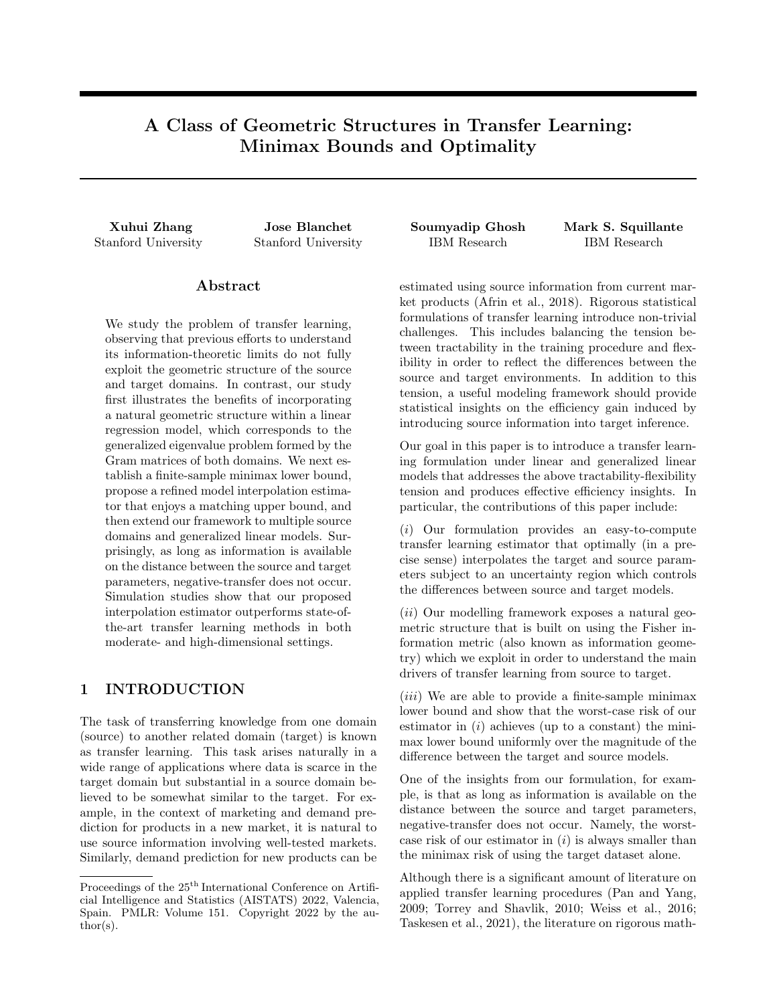,

We observe that the worst-case risk (14) attained by our proposed estimator is smaller than that of the basic approaches using only the source or target dataset. Moreover, the ordinary least squares estimate  $\theta_{\mathcal{T}}$  is minimax optimal when using only the target dataset (Hodges and Lehmann, 1950, Theorem 6.5). Thus we show, surprisingly, that negative transfer cannot occur if we have access to the bound  $U$  on the distance between the source and target parameters. In particular, negative transfer does not occur if there exists an estimator such that the worst-case risk of the estimator is smaller than the minimax risk of only using the samples from the target domain, noting that our model interpolation estimator satisfies this condition. We also show in the supplement that the worst-case risk (14) is smaller than that of the pooling method.

## 3 GENERALIZED LINEAR MODEL

Our mathematical framework and theoretical results above have been limited to the case of transfer learning with respect to LRMs. We next turn to consider our corresponding mathematical framework and theoretical results for the case of transfer learning within the context of a class of GLMs. We also extend our framework to allow multiple source domains. The class of GLMs of interest is presented first, followed by our mathematical analysis that leads to theoretical results for GLMs analogous to Theorems 2.2 and 2.1.

Suppose we have access to  $M$  different source distributions. For each source  $m \nightharpoonup [M]$ , assume the  $n_{\mathcal{S}_m}$ samples  $y_1^{(m)}, \ldots, y_{n_{S_m}}^{(m)}$  come from the GLM density (with respect to some dominating measure  $\mu_{\mathcal{S}_m}$ )

$$
f^{(m)}(y_i^{(m)}; \theta_{S_m}) =
$$
  

$$
t^{(m)}(y_i^{(m)}) \exp\left(\frac{y_i^{(m)} \hbar x_i^{(m)}, \theta_{S_m} i \quad \Psi^{(m)}(\hbar x_i^{(m)}, \theta_{S_m} i)}{a^{(m)}(\sigma_{S_m})}\right)
$$

where  $(x_i^{(m)})^>$  is the *i*-th row of the design matrix  $\mathbf{X}^{(m)}$ ,  $t^{(m)}$  () is a nonnegative-valued function defined on the response space,  $a^{(m)}(x)$  is a positive function of  $\sigma_{S_m}$ , and  $\Psi^{(m)}($  ) is the log-partition function. In a similar manner for the target, assume the  $n<sub>T</sub>$  samples  $v_1, \ldots, v_{n_{\tau}}$  come from the GLM density (with respect to a possibly different dominating measure  $\mu$ <sub>T</sub>)

$$
g(v_i; \theta_\tau) = l(v_i) \exp\left(\frac{v_i \hbar w_i, \theta_\tau i}{b(\sigma_\tau)} \Gamma(\hbar w_i, \theta_\tau i)\right),
$$

where  $w_i^>$  is the *i*-th row of the design matrix **W**,  $l( )$ is analogous to  $t^{(m)}(.)$ ,  $b()$  is analogous to  $a^{(m)}(.)$ and  $\Gamma( )$  is analogous to  $\Psi^{(m)}( )$ .

Note that the above GLM, under which samples are generated according to an exponential family with natural parameter equal to a linear transformation of the underlying parameter  $\theta$ , was used in Lee and Courtade (2020) though not in the context of transfer learning. We further assume that

$$
\sup_{z} (\Psi^{(m)})^{\omega}(z) \quad C_{S_m} \; \partial m, \qquad \sup_{z} \Gamma^{\omega}(z) \quad C_{\mathcal{T}}.
$$

Following in a manner similar to Section 2.1, we next can respectively define the loss function  $\ell(\hat{\theta}, \theta_{\mathcal{T}})$  and the uncertainty set  $fD(\theta_{S_m}, \theta_{\tau})$   $U_m^2 g$  as

$$
\ell(\widehat{\theta}, \theta_{\mathcal{T}}) = (\widehat{\theta} - \theta_{\mathcal{T}})^{>} (\mathbf{W}^> \mathbf{W})(\widehat{\theta} - \theta_{\mathcal{T}}),
$$
  

$$
D(\theta_{\mathcal{S}_m}, \theta_{\mathcal{T}}) = (\theta_{\mathcal{S}_m} - \theta_{\mathcal{T}})^{>} (\mathbf{W}^> \mathbf{W})(\theta_{\mathcal{S}_m} - \theta_{\mathcal{T}}).
$$

This leads to the problem formulation

$$
\inf_{\text{b}} \sup_{D(\varsigma_{m}, \tau)} \mathbb{E}_{P_T, P_{S_m}; m2[M]} [\ell(\hat{\theta}, \theta_T)]. \quad (19)
$$

To simplify the notation, when no confusion arises, we shall henceforth abbreviate the expectation  $\mathsf{E}_{P_T;P_{S_m};m2[M]}[\ell(\widehat{\theta},\theta_{T})]$  by  $\mathsf{E}[\ell(\widehat{\theta},\theta_{T})].$ 

Towards solving this problem formulation, consider the generalized eigenvalue problem of the matrix pencil  $((\mathbf{X}^{(m)})^{\geq}\mathbf{X}^{(m)},\mathbf{W}^{\geq}\mathbf{W});$  refer to Golub and Van Loan (2013). More specifically, we have

$$
(\mathbf{X}^{(m)})^{\geq}\mathbf{X}^{(m)}e_j^{(m)}=\lambda_j^{(m)}\mathbf{W}^{\geq}\mathbf{W}e_j^{(m)},
$$

where the eigenvalues are arranged such that  $\lambda_1^{(m)}$ 

 $\lambda_d^{(m)}$  $\binom{m}{d}$ . Observe that, for any  $\theta \geq \mathbb{R}^d$ ,

 $\theta^>(\mathbf{X}^{(m)})^{\geq}\mathbf{X}^{(m)}\theta = \lambda_1^{(m)}\theta^{\geq}\mathbf{W}^{\geq}\mathbf{W}\theta.$ 

We then have the following main result for a lower bound on the solution of (19) using Le Cam's and Fano's methods (Tsybakov, 2008, Chapter 2).

Theorem 3.1. A lower bound of the minimax risk corresponding to the GLMs is given by

$$
\inf_{\mathbf{b}} \sup_{D\left(s_m; \tau\right)} \sup_{U_m^2, \mathcal{B}m} \mathbb{E}\left[\ell(\widehat{\theta}, \theta_{\mathcal{T}})\right]
$$
\n
$$
\underbrace{\frac{e}{800} \frac{1}{\sum_{m=1}^M \frac{1}{U_m^2 + \frac{a^{(m)}(s_m)}{C_{\mathcal{S}_m}} + \frac{C\tau}{b(\mathcal{T})}}}_{\theta \leftarrow \theta \leftarrow 1}.
$$

Details are given in the supplement.

Remark 3.1. For the non-transfer learning setting considered in Lee and Courtade (2020), our proof method gives rise to a lower bound of  $d \cdot b(\sigma_T) / C_T$ which is sharper than their lower bound of

$$
\max \left\{ \frac{k \Lambda_{\mathbf{W}} k_1^2}{k \Lambda_{\mathbf{W}} k_2^2}, \lambda_{\text{min}}(\mathbf{W}^{\geq \mathbf{W}}) k \Lambda_{\mathbf{W}}^{-1} k_1 \right\} b(\sigma_T) / C_T,
$$

where  $\Lambda_{\mathbf{W}}$  is the vector of eigenvalues of the positive-de nite matrix  $\mathbf{W}^>\mathbf{W}$ , and  $\Lambda_\mathbf{W}^{-1}$  denotes its coordinate-wise inverse.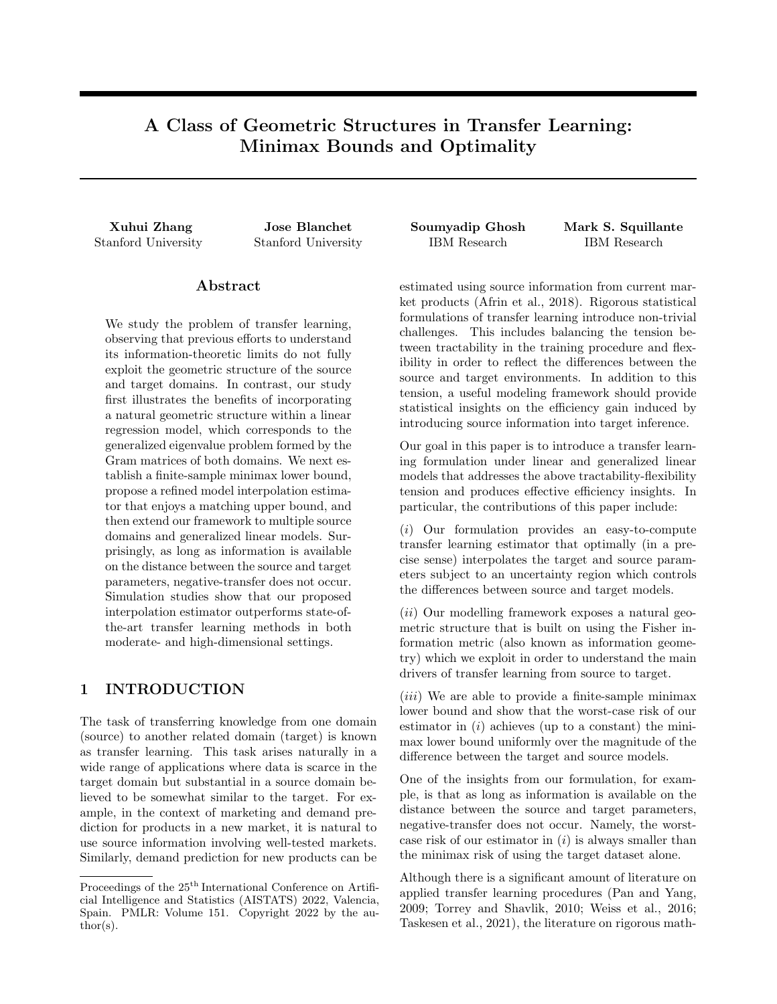Specializing Theorem 3.1 to the LRM case, we derive a multiple sources analog to Theorem 2.2.

Corollary 3.1. When the GLMs considered are Gaussian LRMs, then a lower bound of the minimax risk is

$$
\inf_{\text{b}} \sup_{D\left(s_m, \tau\right)} \sup_{U_m^2, \mathcal{B}m} \frac{\mathbb{E}\left[\ell(\hat{\theta}, \theta_{\tau})\right]}{\mathbb{E}\left(\frac{\theta}{\hat{\theta}}, \theta_{\tau}\right)} \frac{d}{\frac{Q_m^2}{2\hat{\theta}} + \frac{1}{2\hat{\theta}}}} \frac{1}{\frac{Q_m^2}{2\hat{\theta}} + \frac{2}{2\hat{\theta}} + \frac{1}{2\hat{\theta}}}}.
$$

In comparison to Theorem 2.2, the rate in Corollary 3.1 involves the spectral gap  $\lambda_1^{(m)}/\lambda_d^{(m)}$ .

Turning to consider an upper bound within the context of GLMs, we assume that  $\inf_z(\Psi^{(m)})^{\omega}(z)$  L<sub>S<sub>m</sub>, 8m,</sub> and  $\inf_z \Gamma''(z)$  $L<sub>T</sub>$ . Then, using the sub-Gaussian concentration bound for GLM noise and results of Bastani (2021), we obtain the following upper bound of the minimax risk corresponding to the GLMs (ignoring the leading constant):

$$
\frac{d}{\sum_{m=1}^{M} \frac{1}{\frac{U_{m}^{2}}{d} + \frac{2C_{S_{m}}a^{(m)}(S_{m})}{L_{S_{m}}^{2}} + \frac{1}{\frac{2C_{T}b(\tau)}{L_{T}^{2}}}}.
$$
(20)

The details are provided in the supplement. Comparing (20) with Theorem 3.1, we observe that our upper and lower bounds match up to the ratios  $C_{S_m}/L_{S_m}$ and  $C_T/L_T$  and the spectral gap  $\lambda_1^{(m)}/\lambda_d^{(m)}$ . We plan to consider the tight analysis of upper and lower bounds in the GLM setting as part of future research.

## 4 SIMULATION RESULTS

Our focus in this paper is on a mathematical framework of transfer learning and corresponding theoretical results related to geometric structures, minimax bounds, and minimax optimality. To provide further insights and understanding with respect to our framework and results, we now present a collection of simulation results that investigate the quantitative performance of our model interpolation estimator under various conditions, environments, and parameter settings. These simulation results showcase the ability of our proposed estimator to outperform the basic transfer learning approach discussed in Daumé (2007) and the recent state-of-the-art transfer learning methods of Bastani (2021) and Li et al. (2020).

We consider the LRM in the transfer learning setting of a single source domain and a single target domain. The optimal interpolation scheme (15) requires that we specify the parameters  $U, \sigma_S$  and  $\sigma_T$ , which are typically unknown a priori. In Section 4.1, we first qualitatively explore the behavior of our proposed method

with respect to the setting of  $U$  relative to its true value, while assuming perfect knowledge of the remaining parameters. Then, in Section 4.2, we treat all three parameters as unknown and develop heuristic estimation procedures with which we compare this fullfledged version of our proposed method against other competing methods in the research literature.<sup>1</sup>



Figure 1: Simulation Results with Different Ground Truth U. Solid Lines Represent the Proposed Method. Dashed Lines Represent the Basic Pooling Method.

### 4.1 Misspecification of U

For our investigation of the impact of misspecifications of  $U$ , the baseline parameters are set to be  $d = 20, n<sub>S</sub> = 1000, n<sub>T</sub> = 100, \sigma_S^2 = \sigma_T^2 = 1$ . We randomly generate  $X$  where each row independently follows the standard multivariate Gaussian, and also independently generate  $W$  in a similar fashion. We consider  $\beta_{\mathcal{T}}$ , the target parameter after the coordinate transformation (8), as the vector of all ones. Note that specifying  $\theta_{\tau}$  and  $\beta_{\tau}$  is equivalent given the design matrices  $X$  and  $W$ . Experiments are then performed with ground-truth values of  $U \, 2 \, 10.5, 1.5, 2.5$  where, for each value of U, we generate  $\beta_S$  to be the Nash equilibrium in problem (13). We then repeat 1000 independent simulation runs where, in each run, the design matrices  $X, W$  are kept unchanged and fresh copies of the response vectors  $\mathbf{Y}, \mathbf{V}$  are resampled following the LRM (9) and (10).

In calculating the optimal interpolation scheme, we assume  $\sigma_S^2$ ,  $\sigma_T^2$  to be known and experiment with  $U_{\text{guess}}$ values that are equispaced within the interval [0, 3] as  $(mis)$ specifications of  $U$ . Then, we compute the average of the estimation error for  $\theta_{\tau}$  in (5) over the 1000 runs and plot the corresponding trends with respect to  $U_{\text{guess}}$ . The results are summarized in the left plot of Figure 1, where the horizontal lines are the averaged error of the basic pooling method (18) included for comparison. We observe that the performance gap between the proposed method (in solid lines) and the basic pooling method (in dashed lines) increases with

<sup>&</sup>lt;sup>1</sup>All problems are modeled in Python and run on an Intel i5 CPU (1.4GHz) computer.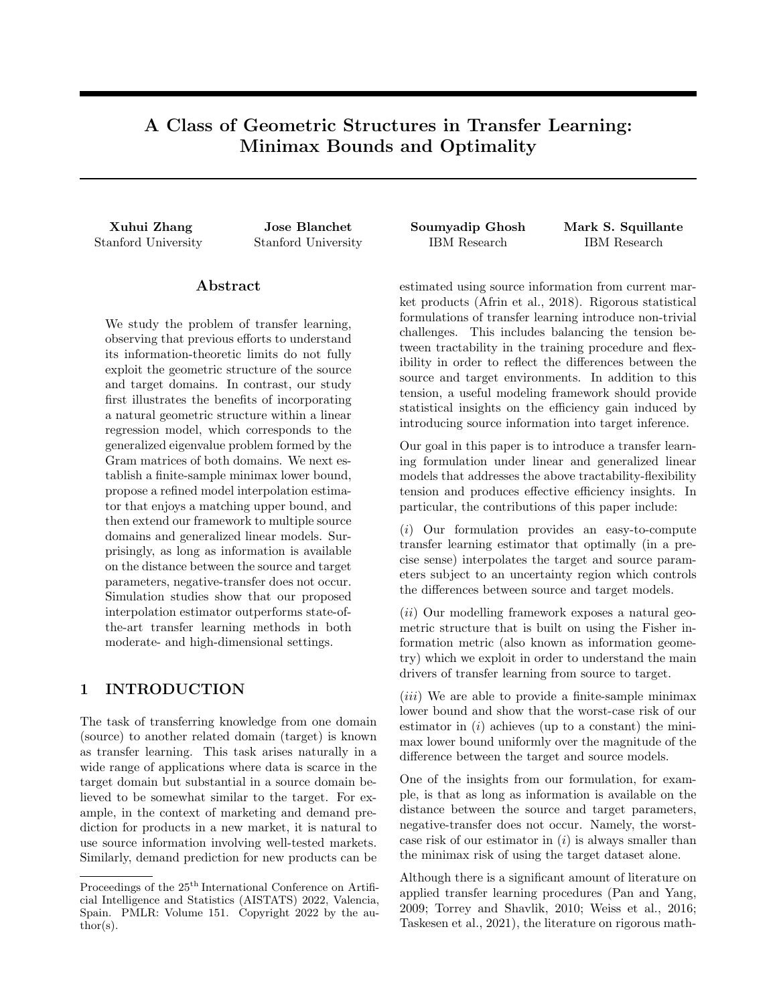| U       | Basic     | Proposed  | Two-Step  | Trans-Lasso | <b>Basic</b> | Proposed  | Two-Step  | Trans-Lasso |
|---------|-----------|-----------|-----------|-------------|--------------|-----------|-----------|-------------|
| 0.5     | 1.9(0.6)  | 2.3(1.3)  | 3.0(2.5)  | 0.9(1.8)    | 9.1(1.7)     | 9.3(2.1)  | 11.8(3.9) | 9.6(3.0)    |
| $1.5\,$ | 3.9(1.1)  | 4.3(1.5)  | 5.7(3.2)  | 2.8(2.9)    | 11.4(2.0)    | 11.4(2.3) | 14.5(4.6) | 12.2(2.9)   |
| 2.5     | 6.9(1.5)  | 6.5(1.7)  | 7.9(2.6)  | 5.3(2.3)    | 15.2(1.9)    | 14.6(2.5) | 18.1(3.8) | 16.2(2.3)   |
| 3.5     | 11.7(1.9) | 9.2(2.5)  | 11.9(3.5) | 9.5(2.9)    | 20.5(2.5)    | 18.6(2.7) | 23.8(3.4) | 21.7(2.8)   |
| 4.5     | 18.6(2.7) | 12.4(4.1) | 15.4(4.9) | 13.9(4.0)   | 27.6(2.3)    | 23.6(3.9) | 31.2(3.1) | 29.2(2.9)   |
| 5.5     | 20.3(6.1) | 14.8(5.3) | 17.9(5.9) | 18.0(5.3)   | 36.9(3.1)    | 29.4(4.6) | 41.3(3.9) | 38.3(3.4)   |
| 6.5     | 20.9(6.6) | 15.8(5.5) | 18.4(6.6) | 19.2(7.3)   | 46.1(3.2)    | 33.7(5.0) | 42.1(4.8) | 47.9(3.7)   |
| 7.5     | 19.3(5.8) | 16.2(4.8) | 18.8(7.8) | 19.6(8.2)   | 54.6(12.5)   | 40.7(6.6) | 65.6(5.9) | 60.8(5.2)   |
| 8.5     | 20.8(6.6) | 18.8(6.6) | 20.8(8.5) | 21.4(8.8)   | 53.8(10.5)   | 43.6(7.2) | 80.9(6.3) | 73.5(4.8)   |
| 9.5     | 20.4(6.6) | 19.1(6.5) | 19.6(7.5) | 20.1(8.0)   | 51.7(11.3)   | 48.3(9.6) | 97.7(9.1) | 88.6(6.2)   |

Table 1: Simulation Results Comparing the Proposed Method to Other Competing Methods in Moderate-Dimensions (Left-Half) and in High-Dimensions (Right-Half). "Basic" Represents the Lowest of the Errors Attained by the Three Basic Methods in Section 2.2. Numbers in Parentheses Are Standard Deviations.

the ground-truth value of  $U$ . While this gap is highest when the proposed method uses the correct  $U$  value, it is robust to misspecification in U.

We now vary the parameter values and observe that similar phenomena exist across the different settings:

The ground-truth value of  $U$  is changed to  $f5, 10, 15g$ , and we experiment with  $U_{\text{guess}}$  values equispaced within [0, 20]. The results are summarized in the right plot of Figure 1. Our proposed method works much better than the basic pooling method across the wider range of U values around the ground-truth.

The rows of  $X$  are generated independently by a zero-mean Gaussian with a Toeplitz covariance matrix (Li et al., 2020, Section 5.2), or both  $X$  and  $W$ are generated in this way; refer to the supplement and Figure 2. The introduction of correlation does not impact the performance of either method when compared to the uncorrelated case in the left plot of Figure 1.

The noise variances are changed to  $\sigma_S^2 = 1, \sigma_T^2 = 5$ , or  $\sigma_S^2 = 5, \sigma_T^2 = 1$ ; refer to the supplement and Figure 3. The proposed method handles large variances in the source data much better than the basic pooling method, while high variance in (smaller sized) target data has no significant impact on either method.

The dimension d is changed to 5, or  $d = 100$  but with  $\beta$ <sub>T</sub> three-sparse (specifically, the first three elements of  $\beta$ <sub>T</sub> are one and the rest are zero); refer to the supplement and Figure 4. Lower dimensionality seems to improve the performance gap between the two methods as compared to the left plot of Figure 1, while this gap shortens in high-dimensions with extreme sparsity.

#### 4.2 Comparisons with Competing Methods

We have seen from Figures  $1 - 4$  that our method admits a broad tolerance to misspecifications of the value of U relative to its true value, especially if the true value is moderately large. We next develop heuristic procedures for estimating U, alongside with  $\sigma_S^2$  and  $\sigma_{\tau}^2$ , from the datasets as follows.

We use the usual least squares MLE estimate

$$
\widehat{\sigma_S^2} = \frac{1}{n_S} \sum_{i=1}^{n_S} \left( y_i - x_i^> \widehat{\theta}_S \right)^2,
$$

with  $\widehat{\theta}_{\mathcal{S}}$  the ordinary least squares estimate of  $\theta_{\mathcal{S}}$  in (3).

For moderate dimension and  $\theta_{\mathcal{T}}$  not sparse, we use a similar least squares estimate  $\sigma_{\tau}^2$ . However, in highdimensional settings, it has been observed that a more accurate estimator is given by (Reid et al., 2016)

$$
\widehat{\sigma}_\mathcal{T}^2 = \frac{1}{n_\mathcal{T} \quad \widehat{s}^\wedge} \sum_{i=1}^{n_\mathcal{T}} \left( v_i - w_i^> \widehat{\theta}_{\mathcal{T},\wedge} \right)^2,
$$

where  $\widehat{\theta}_{\mathcal{T},\hat{\zeta}}$  is the Lasso estimator with cross-validated penalization parameter  $\hat{\gamma}$ , and  $\hat{s}$  is the number of nonzero elements in  $\widehat{\theta}_{\mathcal{T}}$ .

We use a 5-fold cross-validation (CV) procedure to determine an estimate  $\hat{U}$ , where the CV objective is the mean-squared test error on the hold-out set.

The experimental results in Section 4.1 demonstrate forms of robustness with respect to the misspecification of  $U$  in our approach. Beyond the above 5-fold CV approach to estimate  $U$  from the datasets, which delivers promising results below in comparison with stateof-the-art methods, we can use subsampling methods as an alternative to estimate  $U$  whenever the source and target samples are not too scarce. We plan to address this issue in more detail as part of future work.

Now we compare the results from our full-fledged method with those from the basic methods discussed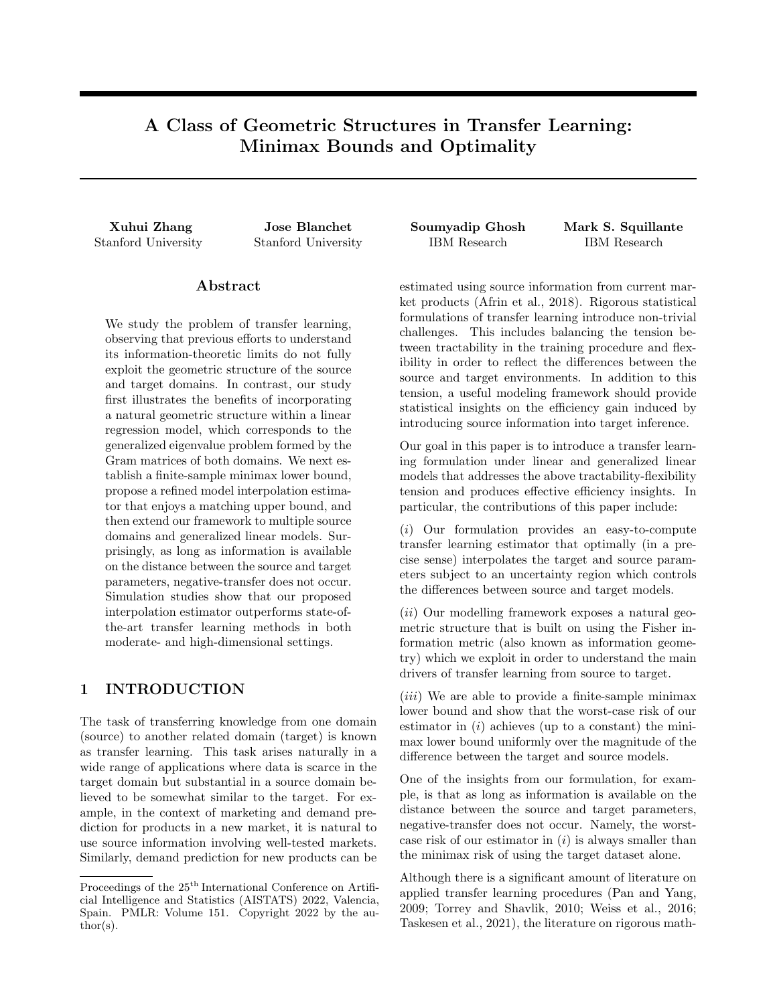| $n_{\rm S}$ | $n_{\tau}$ |       | Basic                    | Proposed     | Two-Step                       | Trans-Lasso    |
|-------------|------------|-------|--------------------------|--------------|--------------------------------|----------------|
| 1000        | 100        | 19.79 | $34.54(15.10)$ (pooling) | 28.50(16.53) | $1.16(2.03)$ $10^5$            | 93.80(57.22)   |
| 10000       | 1000       | 19.20 | $38.52(14.72)$ (target)  | 36.30(14.32) | 1.62(2.35)<br>10 <sup>5</sup>  | 778.47(538.76) |
| 1000        | 1000       | 15.05 | $37.17(10.66)$ (target)  | 36.04(11.08) | 8.84(13.23)<br>10 <sup>5</sup> | 353.49(347.70) |
| 100         | 10000      | 47.97 | $30.72(9.35)$ (target)   | 30.50(9.35)  | $10^{6}$<br>1.08(15.94)        | 47.59(44.61)   |
| 10000       | 100        | 9.29  | $29.86(6.37)$ (pooling)  | 26.47(8.10)  | $10^{4}$<br>1.35(2.46)         | 101.31(67.10)  |

Table 2: Results Comparing the Proposed Method to Other Competing Methods on Uber&Lyft Data.

in Section 2.2 and two recent state-of-the-art transfer learning methods in the literature, namely the twostep joint estimator proposed by Bastani (2021) and its extension to Trans-Lasso by Li et al. (2020). For the latter case, since the setting is a single source domain from which learning is transferred to a target domain, we only include for comparison the Oracle Trans-Lasso algorithm in Li et al. (2020) (i.e., their Algorithm 1).

### 4.2.1 Comparisons in Moderate-Dimensions

The parameters for the case of moderate dimensions are set to be  $d = 20, n_S = 1000, n_T = 100, \sigma_S^2 = \sigma_T^2 =$ 1. We randomly generate X where each row independently follows the standard multivariate Gaussian, and independently generate  $W$  in a similar fashion. We consider  $\theta_{\mathcal{T}}$  to be the vector of all ones. Experiments are performed with ground-truth values of  $U$  in  $f(0.5, 1.5, \ldots, 9.5q$  where, for each value of U, we generate  $\theta_s$  to be the Nash equilibrium in problem (13). We then repeat 1000 independent simulation runs where, in each run, the design matrices  $X, W$  are kept unchanged and fresh copies of the response vectors  $\mathbf{Y}, \mathbf{V}$ are resampled following the LRM (3) and (4). For the methods under consideration, we report the average estimation error of  $\theta_T$  in (5), and its standard deviation, over the 1000 runs. The results are summarized in the left-half of Table 1. For small  $U$ , the Trans-Lasso method produces the best results. We note that these minimax optimality results of Li et al. (2020) are established under different assumptions, and that their results do not contradict our minimax optimality results. For moderate to larger  $U$ , our proposed method attains better performance on average. We also provide additional experiments with  $n<sub>S</sub> = 200, n<sub>T</sub> = 100$ in the supplement, which exhibit consistent behaviors.

### 4.2.2 Comparisons in High-Dimensions

With all other parameters remaining the same, we now consider a more challenging high-dimensional setting where  $d = 100$ . Moreover, we set  $\theta<sub>T</sub>$  to be a sparse vector where the first 20 elements are one, and the remaining 80 elements are zero. To deal with this highdimensional setup, we make a simple heuristic modification to the proposed interpolation scheme (12) by replacing the least squares estimator  $\widehat{\beta}_{\mathcal{T}}$  with  $\widehat{\beta}_{\mathcal{T},\hat{ }}$ , i.e., the Lasso estimator  $\hat{\theta}_{\mathcal{T}}$ ; after the coordinate transformation (8). We repeat 1000 independent simulation runs, and report the average estimation error of  $\theta_T$ in (5) and its standard deviation for the methods under consideration. The results are summarized in the right-half of Table 1. Our proposed method outperforms the other two methods for all  $U$  values considered, somewhat surprisingly even for small  $U$  since the competing methods were designed to exploit sparsity. The supplement provides additional experiments with  $n<sub>S</sub> = 200, n<sub>T</sub> = 100$  that exhibit consistent behaviors.

### 4.2.3 Comparisons on Real-World Dataset

Lastly, we compare the results from the different methods using the Uber $\&$ Lyft dataset<sup>2</sup> of Uber and Lyft cab rides collected in Boston, MA. The learning problem comprises prediction of the price using  $d = 32$  numerical features, including hour-of-the-day, distance, weather, and demand factors. We consider UberX as the source model and standard Lyft service as the target. The entire dataset consists of 55094 observations for the source and 51235 observations for the target, from which we compute the ground truth regression parameters; see the supplement. Since we wish to study the benefit of transfer learning, we restrict ourselves to small random subsamples. We repeat 100 independent experiments and summarize the results in Table 2. Our proposed method attains a better performance on average, by a small margin relative to the basic methods and by a large margin relative to the two-step estimator and Trans-Lasso. Notice that for this problem  $l_q$  sparsity,  $q \n\geq [0, 1]$ , (required by the last two methods) does not reasonably capture the contrast between the source and target models, due to the moderate dimensions and the existence of one dominating feature; see Table 4 and Figure 9 in the supplement.

<sup>2</sup>https://www.kaggle.com/brllrb/uber-and-lyftdataset-boston-ma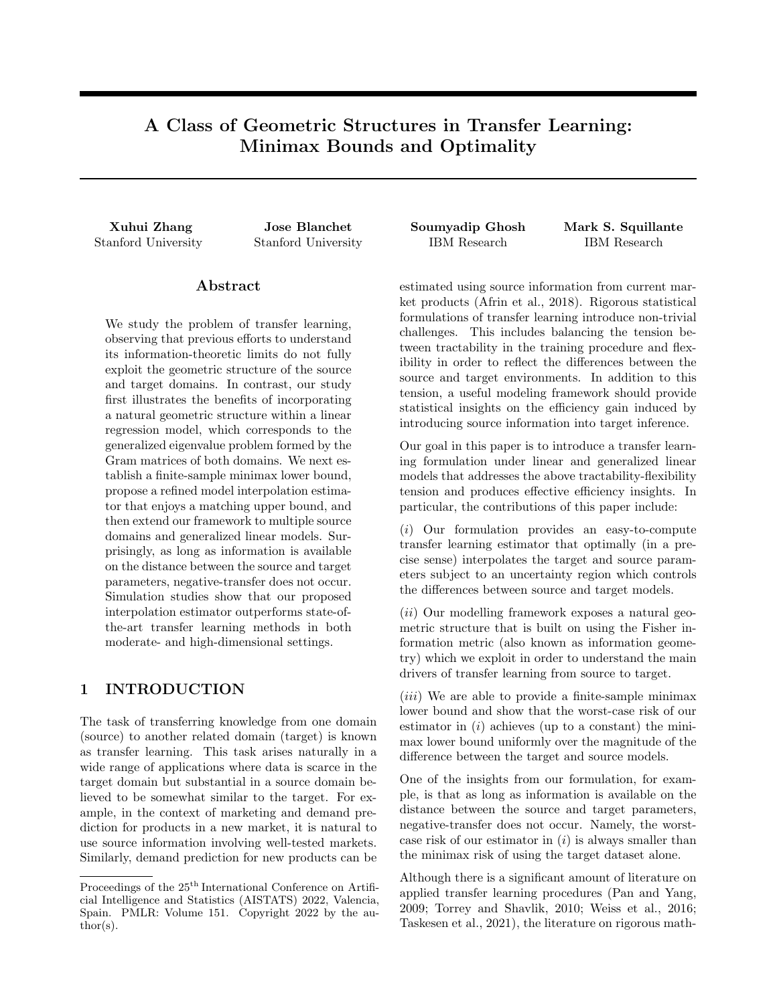### Acknowledgements

J. Blanchet gratefully acknowledges support from the NSF via grant DMS-EPSRC 2118199 and AFOSR, as well as NSF-DMS 1915967 and AFOSR MURI FA9550-20-1-0397.

Part of this work was done while X. Zhang was at the IBM Thomas J. Watson Research Center.

### References

- Kahkashan Afrin, Bimal Nepal, and Leslie Monplaisir. A data-driven framework to new product demand prediction: Integrating product differentiation and transfer learning approach. Expert Systems with Applications, 108:246–257, 2018.
- Hamsa Bastani. Predicting with proxies: Transfer learning in high dimension. Management Science, 67(5):2964–2984, 2021.
- T. Tony Cai and Hongji Wei. Transfer learning for nonparametric classification: Minimax rate and adaptive classifier. The Annals of Statistics,  $49(1):100 -$ 128, 2021.
- L. Lorne Campbell. An extended Cencov characterization of the information metric. Proceedings of the American Mathematical Society, 98(1):135–141, 1986.
- Hal Daumé, III. Frustratingly easy domain adaptation. In Proceedings of the Conference of the Association for Computational Linguistics (ACL), 2007.
- Wolfgang Förstner and Boudewijn Moonen. A Metric for Covariance Matrices, pages 299–309. Springer Berlin Heidelberg, 2003.
- Gene H. Golub and Charles F. Van Loan. Matrix Computations. Johns Hopkins University Press, 4th edition, 2013.
- J. L. Hodges and E. L. Lehmann. Some problems in minimax point estimation. The Annals of Mathematical Statistics, 21(2):182–197, 1950.
- Shunsuke Ihara. On the capacity of channels with additive non-Gaussian noise. Information and Control, 37(1):34–39, 1978.
- W. James and Charles Stein. Estimation with Quadratic Loss, pages 443–460. Springer New York, 1992.
- Mohammadreza Mousavi Kalan, Zalan Fabian, Salman Avestimehr, and Mahdi Soltanolkotabi. Minimax lower bounds for transfer learning with linear and one-hidden layer neural networks. In Advances in Neural Information Processing Systems, volume 33. Curran Associates, Inc., 2020.
- Samory Kpotufe and Guillaume Martinet. Marginal singularity and the benefits of labels in covariateshift. Annals of Statistics, 49(6):3299–3323, 2021.
- Kuan-Yun Lee and Thomas Courtade. Minimax bounds for generalized linear models. In Advances in Neural Information Processing Systems, volume 33, pages 9372–9382. Curran Associates, Inc., 2020.
- Sai Li, T. Tony Cai, and Hongzhe Li. Transfer learning for high-dimensional linear regression: Prediction, estimation, and minimax optimality.  $a\tau Xiv$  e-prints, art. arXiv:2006.10593, 2020.
- Frank Nielsen. An elementary introduction to information geometry. Entropy, 22(10), 2020.
- S. J. Pan and Q. Yang. A survey on transfer learning. IEEE Transactions on Knowledge and Data Engineering, 22(10):1345–1359, 2009.
- Stephen Reid, Robert Tibshirani, and Jerome Friedman. A study of error variance estimation in Lasso regression. Statistica Sinica, 26(1):35–67, 2016.
- Maurice Sion. On general minimax theorems. Paci c Journal of Mathematics,  $8(1):171 - 176$ , 1958.
- Bahar Taskesen, Man-Chung Yue, Jose Blanchet, Daniel Kuhn, and Viet Anh Nguyen. Sequential domain adaptation by synthesizing distributionally robust experts. In Proceedings of the 38th International Conference on Machine Learning, volume 139 of Proceedings of Machine Learning Research, pages 10162–10172. PMLR, 2021.
- Ye Tian and Yang Feng. Transfer learning under high-dimensional generalized linear models. arXiv e-prints, art. arXiv:2105.14328, 2021.
- L. Torrey and J. Shavlik. Transfer learning. In Handbook of Research on Machine Learning Applications and Trends: Algorithms, Methods, and Techniques, page 242–264. IGI Global, 2010.
- A.B. Tsybakov. Introduction to Nonparametric Estimation. Springer Series in Statistics. Springer New York, 2008.
- K. Weiss, T.M. Khoshgoftaar, and D. Wang. A survey of transfer learning. Journal of Big data,  $3(1)$ :1-40, 2016.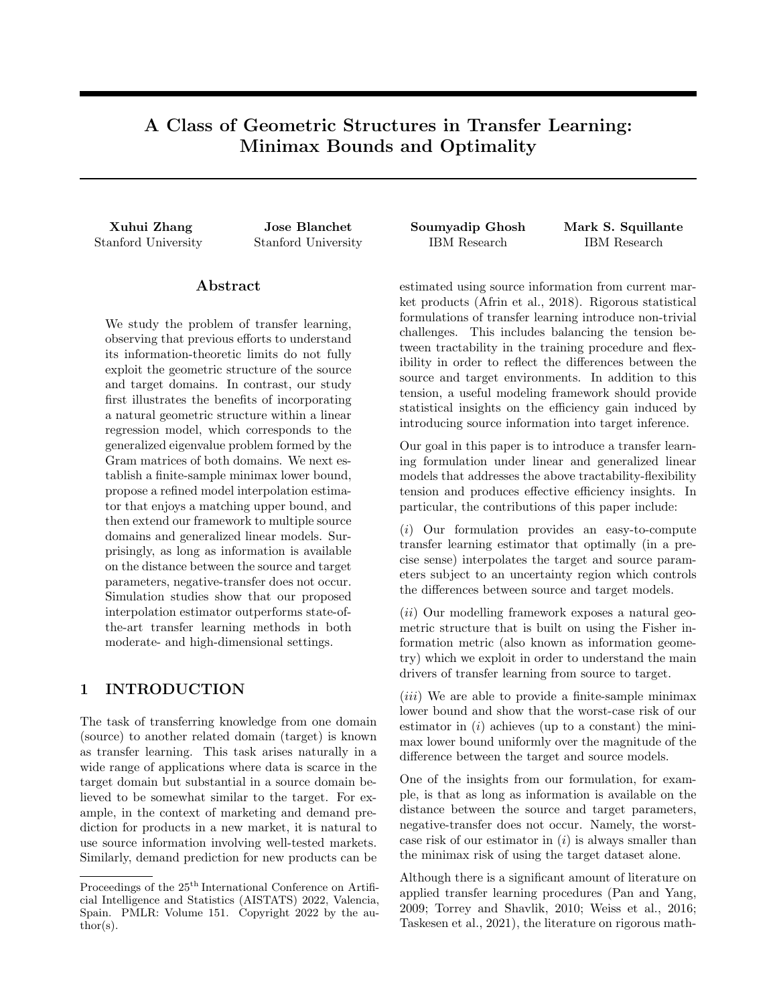# Supplementary Material: A Class of Geometric Structures in Transfer Learning: Minimax Bounds and Optimality

In support of the main body of the paper, this supplement contains additional results, technical details, and complete proofs of our theoretical results. We start by presenting proofs and related results for Theorem 2.1 and Theorem 2.2 in Sections A.1 and A.2, respectively. We then present the proofs of Remark 2.1 and Proposition 2.1 in Sections A.3 and A.4, respectively. Next, we present the proofs of Theorem 3.1, Remark 3.1 and Corollary 3.1 in Sections A.5, A.6 and A.7, respectively. Each of these sections includes statements of the theoretical results from the main body of the paper in an effort to make the supplement self-contained. We also provide auxiliary results on the GLM upper bound in Section A.8 and on the comparison with Kalan et al. (2020) in Section A.9. Finally, in Section B, we present an additional set of simulation results together with additional details and results for the application of a real-world dataset that complement those in the main body of the paper.

## A Proofs and Related Results

### A.1 Proof of Theorem 2.1

**Theorem 2.1.** Under Assumption 2.1, an upper bound  $B$  is given by

$$
\inf_{t_1,\ldots,t_d} \sup_{D(-s,-\tau)} \mathbb{E}_{P_{\mathcal{S}};P_{\mathcal{T}}}[\ell(\widehat{\theta}_{t_1,\ldots,t_d},\theta_{\mathcal{T}})] \tag{13}
$$

$$
=\sum_{i=1}^{d}\frac{1}{\frac{1}{\frac{2}{i}}+\frac{1}{\frac{2}{i}U^{2}+\frac{2}{i}}},\tag{14}
$$

**where** 

$$
\alpha_j^2 = \begin{cases} \sum_{j=i}^{K^2} \kappa_j + \frac{1}{K^2 + 1} (1 - \sum_{j=1}^{K^2} j \kappa_j) & \text{if } i = K^2 + 1, \\ 0 & \text{if } i > K^2 + 1, \end{cases}
$$

and

$$
K^? = \mathop{\rm p}_{\kappa \atop i=1} \max_{i=1, j=1,0} \kappa_{i} \quad K,
$$

with

$$
\kappa_i = \frac{\sigma_S^2}{U^2} \left( \frac{1}{\lambda_{i+1}} - \frac{1}{\lambda_i} \right), \qquad i = 1, \dots, d \quad 1.
$$

Moreover, the optimal estimator  $\theta_{t_1^2,...,t_d^2}$  satis es

$$
t_i^2 = \frac{\sigma_T^2}{\sigma_T^2 + \alpha_i^2 U^2 + \frac{\frac{2}{3}}{I}}.\tag{15}
$$

Proof. It is more convenient to work with the reparametrization (11). Note that

$$
\widehat{\beta}_{\mathcal{S}} = (E^{\geq} \mathbf{X}^{\geq} \mathbf{X} E)^{-1} E^{\geq} \mathbf{X}^{\geq} \mathbf{Y} \qquad \mathcal{N}(\beta_{\mathcal{S}}, \sigma_{\mathcal{S}}^2 \text{diag}(\lambda_1^{-1}, \dots, \lambda_d^{-1})),
$$
\n
$$
\widehat{\beta}_{\mathcal{T}} = (E^{\geq} \mathbf{W}^{\geq} \mathbf{W} E)^{-1} E^{\geq} \mathbf{W}^{\geq} \mathbf{V} \qquad \mathcal{N}(\beta_{\mathcal{T}}, \sigma_{\mathcal{T}}^2 I).
$$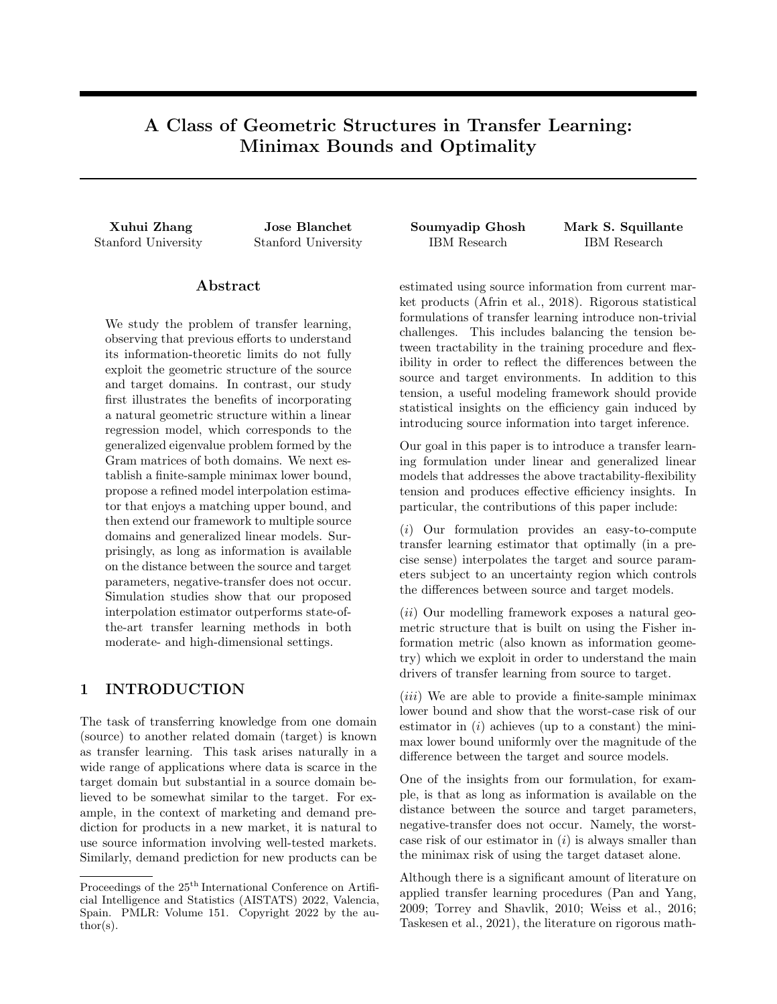We therefore obtain

$$
\inf_{t_1, ..., t_d} \sup_{D(s; r)} \mathbb{E}_{P_S, P_T} [\hat{k}\hat{\beta} \quad \beta_T \hat{k}_2^2]
$$
\n
$$
= \inf_{t_1, ..., t_d} \sup_{k \leq r} \mathbb{E}_{\hat{R}^2} \mathbb{E}_{P_S} \left[ \frac{\text{diag}(t_1^2, ..., t_d^2) \sigma_S^2 \text{diag}(\lambda_1^1, ..., \lambda_d^1) + \sum_{i=1}^d t_i^2 ((\beta_S)_i - (\beta_T)_i)^2}{\text{Tr } (\text{diag}((1 - t_1)^2, ..., (1 - t_d)^2) \sigma_T^2)} \right]
$$
\n
$$
= \inf_{t_1, ..., t_d} \sup_{t \geq 0} \sup_{\beta = 1} \sum_{i=1}^d t_i^2 \left( \frac{\sigma_S^2}{\lambda_i} + \alpha_i U^2 \right) + (1 - t_i)^2 \sigma_T^2
$$
\n
$$
= \sup_{t \geq 0} \sup_{\beta = 1} \inf_{t_1 = 1} \sum_{t_1, ..., t_d} \sum_{i=1}^d t_i^2 \left( \frac{\sigma_S^2}{\lambda_i} + \alpha_i U^2 \right) + (1 - t_i)^2 \sigma_T^2
$$
\n
$$
= \sup_{t \geq 0} \sup_{\beta = 1} \sum_{i=1}^d \frac{1}{\frac{1}{\beta} + \frac{1}{\frac{1}{\beta} + \frac{1}{\beta}}}
$$
\n
$$
= d\sigma_T^2 \quad \sigma_T^4 \left( \inf_{t \geq 0} \inf_{\beta = 1} \sum_{i=1}^d \frac{1}{\alpha_i U^2 + \sigma_T^2 + \frac{2}{\beta}} \right),
$$

where Sion's minimax theorem (Sion, 1958) is employed to swap the supremum and infinum. Further note that

$$
\sigma_T^2 + \frac{\sigma_S^2}{\lambda_1} \qquad \qquad \sigma_T^2 + \frac{\sigma_S^2}{\lambda_d}.
$$

Let

$$
\kappa_i = \frac{\sigma_S^2}{U^2} \left( \frac{1}{\lambda_{i+1}} - \frac{1}{\lambda_i} \right), \qquad i = 1, \dots, d \quad 1,
$$

and

$$
K^? = \mathop{\rm p}\nolimits_{K \atop i=1} \max_{i=1, i=1,0} K \atop k \neq 1} K.
$$

It is then easy to see that the solution of

$$
\inf_{i=0} \inf_{j=1}^{\infty} \sum_{i=1}^{d} \frac{1}{\alpha_i U^2 + \sigma_T^2 + \frac{2}{\sigma^2}}
$$

is given by

$$
\alpha_i^2 = \begin{cases} \sum_{j=i}^{K^2} \kappa_j + \frac{1}{K^2 + 1} (1 - \sum_{j=1}^{K^2} j\kappa_j) & \text{if } i = K^2 + 1, \\ 0 & \text{if } i > K^2 + 1. \end{cases}
$$

Hence, we have

$$
\inf_{t_1,\ldots,t_d} \sup_{D(-s,-\tau)} E_{P_S;P_T}[k\hat{\beta} \quad \beta \tau k_2^2] = \sum_{i=1}^d \frac{1}{\frac{1}{\tau_i^2} + \frac{1}{\frac{1}{\tau_i^2} + \frac{2}{\tau_i^2}}} ,
$$

and

$$
t_i^2 = \frac{\frac{1}{i^2}\mu^2 + \frac{2}{i^2}}{\frac{1}{i^2} + \frac{1}{i^2}\mu^2 + \frac{2}{i^2}}} = \frac{\sigma^2}{\sigma^2 + \alpha_i^2 U^2 + \frac{2}{i^2}}, \qquad i = 1, \dots, d,
$$

thus completing the proof.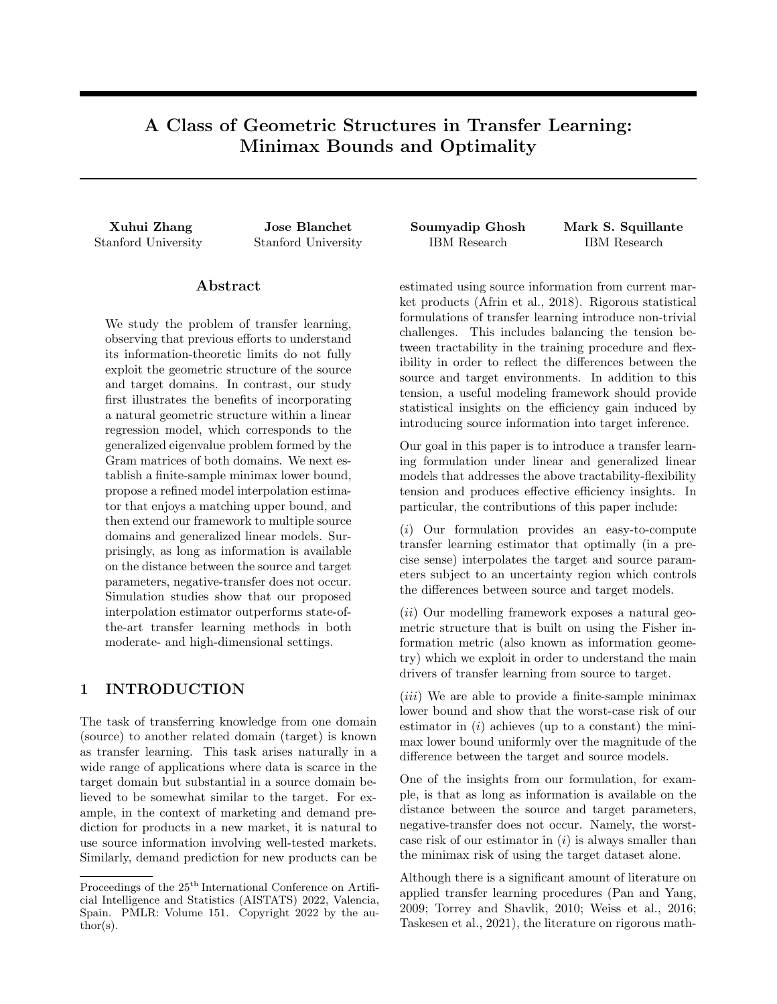### A.2 Proof of Theorem 2.2

In order to obtain our lower bound results, we shall make use of the following lemma which concerns the admissibility of the hypotheses in applying Le Cam's or Fano's method (Tsybakov, 2008, Chapter 2).

**Lemma A.1.** For any  $\gamma_i > 0$ ,  $U_i > 0, i = 0, \ldots, M$ , and  $K = \frac{1}{4}$ , there exists  $\beta_i^{(j)} \supseteq R, i = 0, \ldots, M, j = 0, 1$ , such that the following conditions hold simultaneously:

- 1.  $\left(\beta_0^{(0)}\quad \beta_0^{(1)}\right)^2 = \frac{1}{K} \frac{P_{\text{max}}}{\beta_0 + \beta_0^2}$  $\frac{P_{\substack{M\\k=1}}}{0+\frac{1}{k+1}}$ ; k
- 2.  $\begin{vmatrix} \beta_0^{(j)} & \beta_i^{(j)} \end{vmatrix}$   $U_i$ ,  $i = 1, ..., M, j = 0, 1;$
- 3.  $\left(\beta_i^{(0)}\ \beta_i^{(1)}\right)^2 \frac{1}{K}$  $\frac{1}{U_i^2 + \frac{1}{i}}$ 1 i  $\overline{P}_{\substack{M \ k=1}}^{\overline{P}_{\substack{i=1 \ \overline{U_k^2+\frac{1}{k}}}}}$ ,  $i=1,\ldots,M$ . k

Under these conditions, we have

$$
\sum_{i=0}^{M} \gamma_i \left(\beta_i^{(0)} \quad \beta_i^{(1)}\right)^2 \quad \frac{1}{K}.
$$

Proof. For the three conditions to hold simultaneously, it suffices to show (using the triangle inequality twice to bound condition 2 in terms of conditions 1 and 3) that, for  $i = 1, \ldots, M$ ,

$$
\sqrt{\frac{1}{\gamma_0 + \sum_{k=1}^{M} \frac{1}{U_k^2 + \frac{1}{k}}}} \sqrt{\frac{\frac{1}{U_j^2 + \frac{1}{i}} \frac{1}{U_j^2}}{\gamma_0 + \sum_{k=1}^{M} \frac{1}{U_k^2 + \frac{1}{k}}}} \quad 2^{\cancel{D}} \overline{K} U_i.
$$

This problem is equivalent to showing that

1 
$$
\sqrt{\frac{1}{\gamma_i} \frac{1}{U_i^2 + \frac{1}{\gamma_i}}} \quad 2^{\mathcal{P}} \overline{K} U_i \sqrt{\gamma_0 + \sum_{k=1}^{M} \frac{1}{U_k^2 + \frac{1}{\gamma_k}}}.
$$

In fact, we can show a tighter bound

1 
$$
\sqrt{\frac{1}{\gamma_i} \frac{1}{U_i^2 + \frac{1}{\gamma_i}}}
$$
  $2^{\mathcal{O}} \overline{K} U_i \sqrt{\gamma_0 + \frac{1}{U_i^2 + \frac{1}{\gamma_i}}}$ 

which can be rewritten as

$$
\sqrt{U_i^2 + \frac{1}{\gamma_i}} \quad \sqrt{\frac{1}{\gamma_i}} \quad 2^{\prime 2} \overline{K} U_i \sqrt{1 + \gamma_0 (U_i^2 + \frac{1}{\gamma_i})},
$$

or further rewritten as

$$
\frac{U_i^2}{\sqrt{U_i^2 + \frac{1}{i} + \sqrt{\frac{1}{i}}}} \quad 2^{\mathcal{D}} \overline{K} U_i \sqrt{1 + \gamma_0 (U_i^2 + \frac{1}{\gamma_i})}.
$$
\n(21)

 $\Box$ 

Since  $K \frac{1}{4}$  and

$$
\frac{U_i}{\sqrt{U_i^2 + \frac{1}{i} + \sqrt{\frac{1}{i}}}} \quad 1,
$$

we conclude that the desired result (21) holds. The last part of the claim in Lemma A.1 follows easily.

We now are in a position to prove Theorem 2.2 via Le Cam's method (Tsybakov, 2008, Chapter 2), which we restate as follows.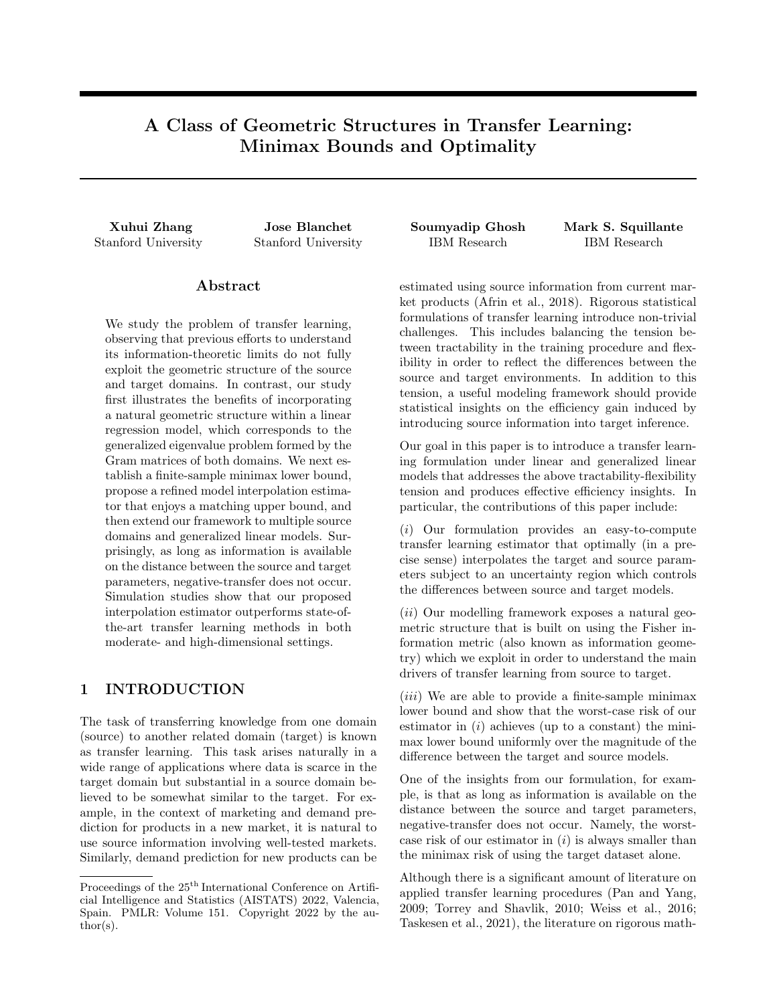**Theorem 2.2.** Under Assumption 2.1, a lower bound  $L$  is given by

$$
\inf_{\mathbf{b}} \sup_{D(|\mathbf{s}|/\tau)} \mathbb{E}_{P_{\mathbf{S}};P_{\mathcal{T}}}[\ell(\hat{\theta},\theta_{\mathcal{T}})] \quad \frac{\exp\left(-\frac{1}{2}\right)}{16} \sum_{i=1}^{d} \frac{1}{\frac{1}{\tau} + \frac{1}{\hat{\jmath}U^2 + \frac{2}{\hat{\jmath}}}}.
$$
\n(16)

Proof. It is more convenient to work with the reparametrization (11). Note that

$$
\inf_{\mathbf{b}} \sup_{\mathbf{D}(\mathbf{s};\tau)} E_{\mathbf{P}_{\mathbf{S}},\mathbf{P}_{\mathcal{T}}}[\tilde{\ell}(\hat{\beta},\beta\tau)] \inf_{\mathbf{b}} \sup_{(\mathbf{s})_{i} = (\tau_{i})_{i}^{2}} E_{\mathbf{P}_{\mathbf{S}},\mathbf{P}_{\mathcal{T}}}[\tilde{\ell}(\hat{\beta},\beta\tau)]
$$
\n
$$
\sum_{i=1}^{d} \inf_{\mathbf{b}_{i} = (\mathbf{s})_{i} = (\tau_{i})_{i}^{2}} E_{\mathbf{P}_{\mathbf{S}},\mathbf{P}_{\mathcal{T}}}[\tilde{\ell}(\hat{\beta},\beta\tau)]
$$

Consider the singular value decomposition of  $WE$ , for which we obtain

$$
\mathbf{W}E = PDQ = P\begin{pmatrix} Q \\ 0 \end{pmatrix},
$$

since  $E > W > W E = I$  and where P, Q are orthogonal matrices of appropriate dimensions. We therefore have

$$
\begin{pmatrix} E^{\geq 0} \mathbf{W}^{\geq 0} \\ (0 I) P^{\geq 0} \end{pmatrix} \mathbf{W} E = \begin{pmatrix} Q^{\geq 0} & 0 \\ 0 & I \end{pmatrix} P^{\geq 0} \mathbf{W} E = \begin{pmatrix} I \\ 0 \end{pmatrix},
$$

and thus

$$
\tilde{\mathbf{V}} = \begin{pmatrix} E^{\times} \mathbf{W}^{\times} \\ (0 \ I) P^{\times} \end{pmatrix} \mathbf{V} = \begin{pmatrix} I \\ 0 \end{pmatrix} \beta \tau + \tilde{\eta}, \quad \tilde{\eta} \quad \mathcal{N} \left( 0, \sigma_{\tau}^{2} \begin{pmatrix} I & 0 \\ 0 & \Gamma \end{pmatrix} \right), \tag{22}
$$

where  $\Gamma$  is some positive-definite matrix that does not concern us in the following calculations. Similarly, considering the singular value decomposition of  $\mathbf{X}E$ , we obtain

$$
\mathbf{X}E = \tilde{P}\tilde{D}\tilde{Q} = \tilde{P}\begin{pmatrix} \mathrm{diag}(\lambda_1^{1=2}, \dots, \lambda_d^{1=2})\tilde{Q} \\ 0 \end{pmatrix},
$$

since  $E^{\geq}X^{\geq}X^{\geq}$  and where  $\tilde{P}, \tilde{Q}$  are orthogonal matrices of appropriate dimensions. We therefore have

$$
\tilde{\mathbf{Y}} = \begin{pmatrix} E^{\times} \mathbf{X}^{\times} \\ (0 \ I) \tilde{P}^{\times} \end{pmatrix} \mathbf{Y} = \begin{pmatrix} \text{diag}(\lambda_1, \dots, \lambda_d) \\ 0 \end{pmatrix} \beta_S + \tilde{\epsilon}, \quad \tilde{\epsilon} \quad \mathcal{N} \left( 0, \sigma_S^2 \begin{pmatrix} \text{diag}(\lambda_1, \dots, \lambda_d) & 0 \\ 0 & \tilde{\Gamma} \end{pmatrix} \right), \tag{23}
$$

where  $\tilde{\Gamma}$  is some positive-definite matrix that does not concern us in the following calculations. By Le Cam's method (Tsybakov, 2008, Chapter 2), we then obtain

$$
\inf_{b_{i}} \sup_{((s)_i} \sup_{(\tau_i)^j)^2} E_{P_S;P_T}[(\hat{\beta}_i \ (\beta_T)_i)^2] = \frac{((\beta_T)^0_i (\beta_T)^1_i)^2}{16} \exp\left(-\frac{((\beta_T)^0_i (\beta_T)^1_i)^2}{2\sigma_T^2} - \frac{\lambda_i((\beta_S)^0_i (\beta_S)^1_i)^2}{2\sigma_S^2}\right),
$$

for any

$$
j(\beta_{\mathcal{T}})^0_i \quad (\beta_{\mathcal{S}})^0_i j = j(\beta^0_{\mathcal{T}} \quad \beta^0_{\mathcal{S}})_{ij} \quad \sqrt{\alpha_i^2} U
$$

and

$$
j(\beta_{\mathcal{T}})^1_j \quad (\beta_{\mathcal{S}})^1_j = j(\beta^1_{\mathcal{T}} \quad \beta^1_{\mathcal{S}})_{ij} \quad \sqrt{\alpha^2_j} U.
$$

From Lemma A.1, upon choosing  $K = 1$ , we know there exists  $(\beta_{\tau})^0_i$ ,  $(\beta_{\tau})^1_i$ ,  $(\beta_{\mathcal{S}})^0_i$ ,  $(\beta_{\mathcal{S}})^1_i$  such that

$$
(\beta_7^0 \quad \beta_5^0)^2_i \quad \alpha_i^2 U^2, (\beta_7^1 \quad \beta_5^1)^2_i \quad \alpha_i^2 U^2, (\beta_7^0 \quad \beta_7^1)^2_i = \frac{1}{\frac{1}{\beta_7^2 U^2 + \frac{2}{\beta_7^2}} + \frac{1}{\beta_7^2}}.
$$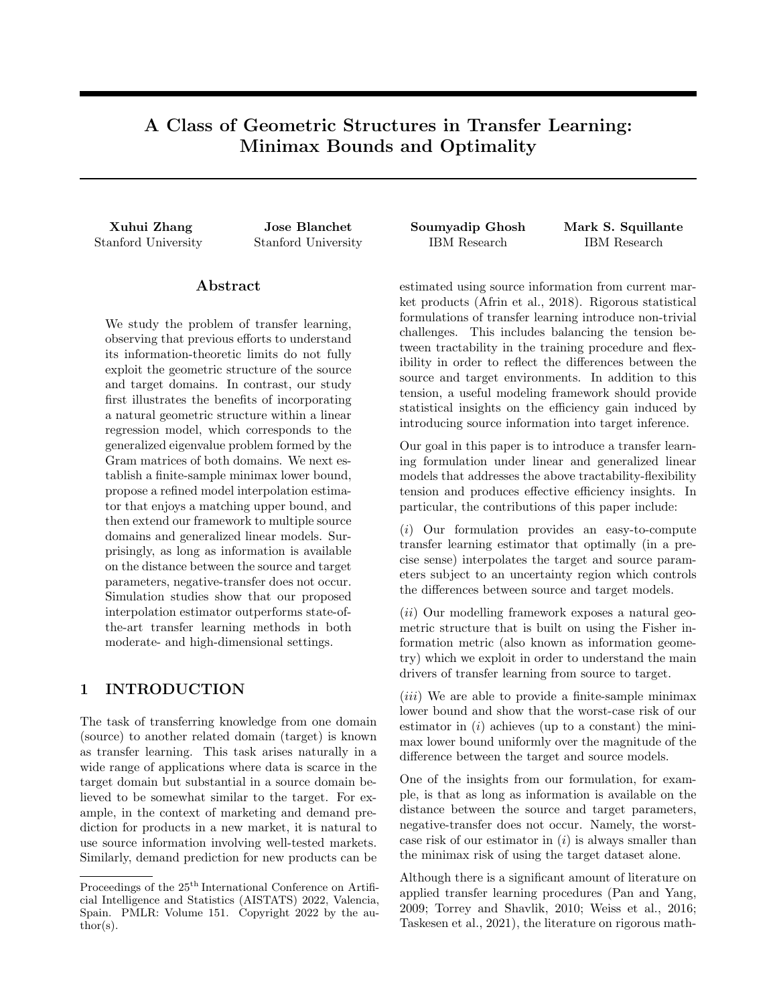and

$$
(\beta_S^0 \quad \beta_S^1)^2_i \quad \frac{\frac{1}{\hat{i}U^2 + \frac{2}{\hat{i}}}}{\frac{1}{\hat{i}U^2 + \frac{2}{\hat{i}}} + \frac{1}{\hat{i}}}
$$

We therefore have

$$
\frac{((\beta_7)^0_1 - (\beta_7)^1_1)^2}{16} \exp\left(-\frac{((\beta_7)^0_1 - (\beta_7)^1_1)^2}{2\sigma_T^2} - \frac{\lambda_7((\beta_5)^0_1 - (\beta_5)^1_1)^2}{2\sigma_S^2}\right) - \frac{\exp(-\frac{1}{2})}{16} \frac{1}{\frac{1}{\frac{7}{2}(\beta_7 - \frac{2}{5})} + \frac{1}{\frac{7}{2}}},
$$

and thus conclude the lower bound

$$
\inf_{\mathsf{D}} \sup_{\mathsf{D}(|\mathsf{s}|=7)} \mathsf{E}_{\mathsf{P}_{\mathsf{S}}:\mathsf{P}_{\mathsf{T}}}[\tilde{\ell}(\hat{\beta}, \beta_{\mathsf{T}})] \quad \frac{\exp\left(-\frac{1}{2}\right)}{16} \sum_{i=1}^{d} \frac{1}{\frac{1}{\hat{\ell}U^{2} + \frac{2}{i^{i}} + \frac{1}{i^{i}}}}.
$$

i

### A.3 Proof of Remark 2.1

Remark 2.1. Using the channel capacity of a non-Gaussian additive noise channel (Ihara, 1978), we can improve the uniform constant  $\frac{\exp(-\frac{1}{2})}{16}$  $\frac{(2)}{16}$  to

$$
\max\left\{\frac{\exp\left(-\frac{1}{2}\right)}{16}, \left(\frac{\frac{2}{5}}{\alpha_i^2 U^2 + \frac{2}{\alpha_i^2}}\right)^2\right\}
$$

for the i-th summand in (16). Note that the second term is 1 if  $\alpha_i^2=0$ , and it is arbitrarily close to 1 if  $U$  is su ciently small.

Proof. It is well known that the minimax risk is lower bounded by the Bayesian risk

$$
\inf_{\mathsf{b}} \sup_{\mathsf{D}(\mathsf{s}; \tau)} \mathsf{E}_{\mathsf{P}_{\mathsf{S}},\mathsf{P}_{\mathsf{T}}}[\tilde{\ell}(\widehat{\beta}, \beta_{\mathsf{T}})] \quad \inf_{\mathsf{b}} \mathsf{E}[\mathsf{k}\widehat{\beta} \quad \beta_{\mathsf{T}}\mathsf{k}_2^2],
$$

where the expectation on the right-hand side refers to a fixed design model (i.e., the predictors in the source and target are given), there is a prior on both  $\beta_S$  and  $\beta_T$ , and the responses, conditional on the prior, follow the  $P_S$ and  $P_T$  models for source and target environments, respectively. We assume independent priors  $(\beta_T)_i$   $\mathcal{N}(0, \sigma^2)$ , and further assume  $(\beta_S)_i = (\beta_T)_i + \sqrt{\alpha_i^2} \Delta_i$  where  $\Delta_i$  assigns a probability of 0.5 to U and a probability of 0.5 to U. By the maximum entropy of the Gaussian distribution and the data processing inequality, we have

$$
\inf_{\mathbf{b}} \mathsf{E}[k\widehat{\beta} \quad \beta \tau k_2^2] \quad \frac{1}{2\pi e} \sum_{i=1}^d e^{2h((-\tau)i)} \quad 2I(\mathbf{Y} \cdot \mathbf{V} \cdot (-\tau)i).
$$

Since mutual information is invariant under invertible transformations, we obtain

$$
I(\mathbf{Y},\mathbf{V};(\beta_{\mathcal{T}})_i)=I(\tilde{\mathbf{V}},\tilde{\mathbf{Y}};(\beta_{\mathcal{T}})_i)=I(\tilde{\mathbf{V}}_i,\tilde{\mathbf{Y}}_i;(\beta_{\mathcal{T}})_i),
$$

where  $\tilde{V}$  and  $\tilde{Y}$  are invertible transformations of V and Y; refer to (22) and (23). We also know that

$$
\tilde{\mathbf{V}}_i = (\beta_{\mathcal{T}})_i + \tilde{\eta}_i
$$

and

$$
\frac{\tilde{\mathbf{Y}}_i}{\lambda_i} = (\beta \tau)_i + \sqrt{\alpha_i^2} \Delta_i + \frac{1}{\lambda_i} \tilde{\epsilon}_i.
$$

Noting the decomposition

$$
I(\tilde{\mathbf{V}}_i, \tilde{\mathbf{Y}}_i; (\beta \tau)_i) = I(\tilde{\mathbf{V}}_i; (\beta \tau)_i) + I(\tilde{\mathbf{Y}}_i; (\beta \tau)_i) \tilde{\mathbf{V}}_i),
$$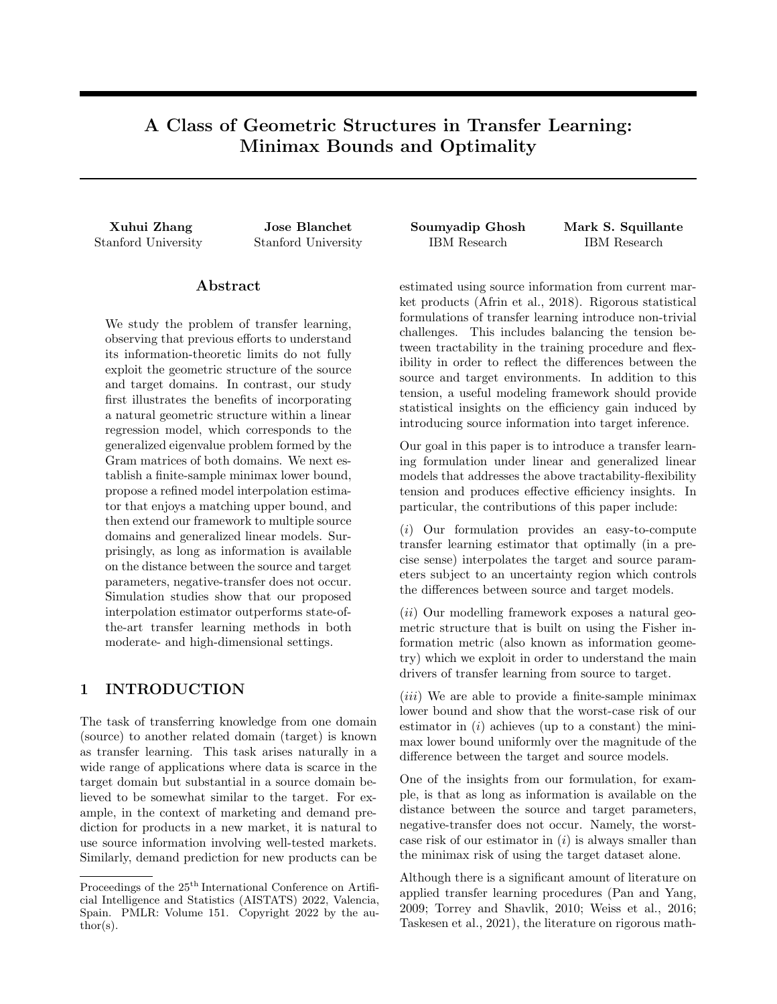then, as  $\sigma^2$  / 1, we have

$$
I(\tilde{\mathbf{V}}_i; (\beta \tau)_i) - \frac{1}{2} (\log(\sigma^2) - \log(\sigma^2_{\tau})).
$$

For the second term of this decomposition, we obtain

$$
I(\tilde{\mathbf{Y}}_i;(\beta_{\mathcal{T}})_i/\tilde{\mathbf{V}}_i)=\mathbb{E}_{\mathbf{V}_i}[I(\tilde{\mathbf{Y}}_i;(\beta_{\mathcal{T}})_i/\tilde{\mathbf{V}}_i=\tilde{v}_i)].
$$

Due to conditional independence, we know that  $\tilde{\mathbf{Y}}_i$   $j((\beta_{\tau})_i, \tilde{\mathbf{V}}_i = \tilde{v}_i)$  has the same distribution as  $\tilde{\mathbf{Y}}_i$   $j(\beta_{\tau})_i$ . Hence, we see that

$$
I(\tilde{\mathbf{Y}}_i;(\beta_{\mathcal{T}})_i/\tilde{\mathbf{V}}_i=\tilde{v}_i)=I(\tilde{\mathbf{Y}}_i;(\tilde{\beta}_{\mathcal{T}})_i),
$$

where

$$
(\tilde{\beta}_{T})_{i}
$$
  $N((1+\frac{1}{\sigma^{2}})^{-1}v_{i}, \sigma_{T}^{2}(1+\frac{1}{\sigma^{2}})^{-1}).$ 

From the non-Gaussian additive noise channel capacity (Ihara, 1978), we have

$$
I(\tilde{\mathbf{Y}}_i;(\tilde{\beta}_{\mathcal{T}})_i) = \frac{1}{2}\log(1+\frac{\sigma_{\mathcal{T}}^2(1+\sigma^{-2})^{-1}}{\alpha_i^2U^2+\frac{2}{\sigma_i}})+\mathrm{KL}(P^D\underset{i+\frac{1}{\sigma_i}\sim i}{\rightarrow}kN(0,\alpha_i^2U^2+\frac{\sigma_S^2}{\lambda_i})),
$$

and by the convexity of KL divergence, we obtain

$$
KL(P^D \overline{\gamma}_{i} + \frac{1}{i} \gamma^k N(0, \alpha_i^2 U^2 + \frac{\sigma_S^2}{\lambda_i}))
$$
\n
$$
\frac{1}{2} KL(N(\sqrt{\alpha_i^2} U, \frac{\sigma_S^2}{\lambda_i}) k N(0, \alpha_i^2 U^2 + \frac{\sigma_S^2}{\lambda_i})) + \frac{1}{2} KL(N(\sqrt{\alpha_i^2} U, \frac{\sigma_S^2}{\lambda_i}) k N(0, \alpha_i^2 U^2 + \frac{\sigma_S^2}{\lambda_i}))
$$
\n
$$
\log(\alpha_i^2 U^2 + \frac{\sigma_S^2}{\lambda_i}) \log(\frac{\sigma_S^2}{\lambda_i}).
$$

We therefore have

$$
\lim_{2/\gamma} h((\beta \tau)_i) \quad I(\tilde{\mathbf{V}}_i, \tilde{\mathbf{Y}}_i; (\beta \tau)_i) \quad \frac{1}{2} \left( \log(2\pi e) \quad \log(\frac{1}{\sigma_\mathcal{T}^2} + \frac{1}{\alpha_i^2 U^2 + \frac{2}{\tau}}) \right) + \log(\frac{\sigma_\mathcal{S}^2}{\lambda_i}) \quad \log(\alpha_i^2 U^2 + \frac{\sigma_\mathcal{S}^2}{\lambda_i}),
$$

and thus conclude the lower bound

$$
\inf_{\mathsf{b}} \mathsf{E}[k\hat{\beta} \quad \beta_{\mathsf{T}} k_2^2] \quad \sum_{i=1}^d \left( \frac{\frac{2}{5}}{\alpha_i^2 U^2 + \frac{2}{5}} \right)^2 \quad \frac{1}{\frac{1}{7} + \frac{1}{\frac{2}{7}U^2 + \frac{2}{5}}}.
$$

### A.4 Proof of Proposition 2.1

Proposition 2.1.

1. For the LRM based solely on the source dataset, the estimator  $\widehat{\theta}_S = E \widehat{\beta}_S$  satis es

$$
\sup_{D(|s|/|\tau)} E_{P_S, P_T}[\ell(\widehat{\theta}_S, \theta_T)] = U^2 + \sigma_S^2 \sum_{i=1}^d \lambda_i^{-1}.
$$

2. For the LRM based solely on the target dataset, the estimator  $\widehat{\theta}_T = E \widehat{\beta}_T$  satis es

$$
\sup_{D(|s|/\tau)} \mathbb{E}_{P_S; P_T}[\ell(\widehat{\theta}_T, \theta_T)] = d\sigma_T^2
$$

.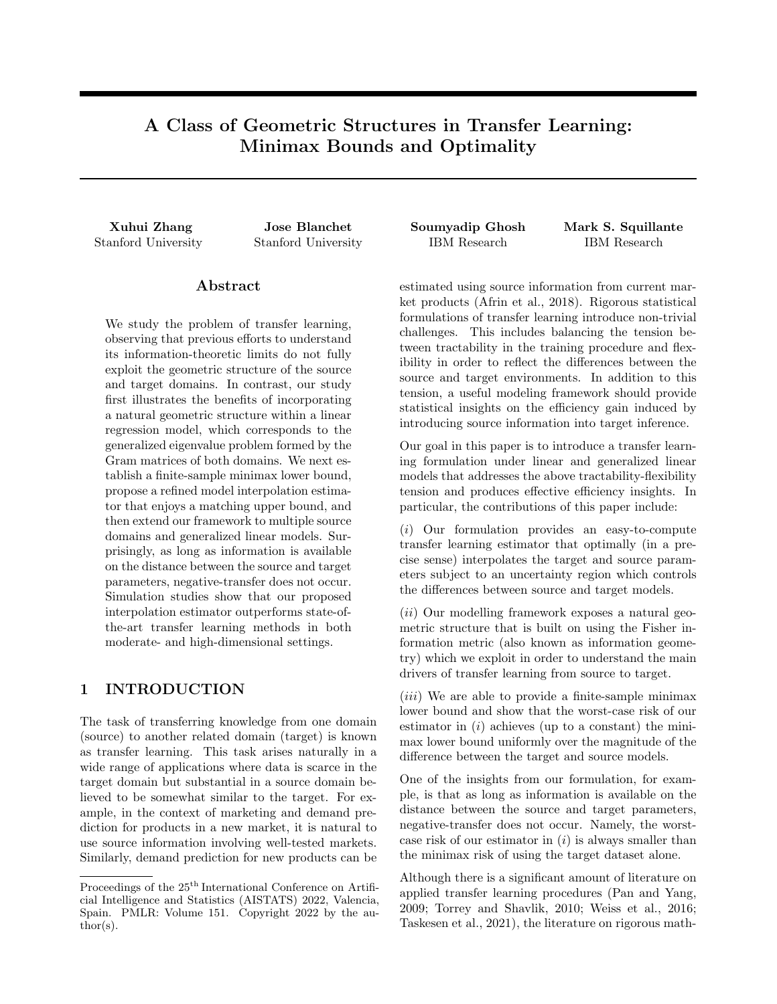3. Finally, for the LRM based on pooling the source and target datasets, the estimator

$$
\widehat{\theta}_{P} = \left( \begin{pmatrix} \mathbf{X}^{\times} & \mathbf{W}^{\times} \end{pmatrix} \begin{pmatrix} \mathbf{X} \\ \mathbf{W} \end{pmatrix} \right)^{-1} \left( \mathbf{X}^{\times} & \mathbf{W}^{\times} \end{pmatrix} \begin{pmatrix} \mathbf{Y} \\ \mathbf{V} \end{pmatrix}
$$
(18)

d

satis es

$$
\sup_{D(|s| \leq r)} \mathbb{E}_{P_S; P_T}[\ell(\widehat{\theta}_P, \theta_T)] = U^2 \max_{1 \leq i \leq d} \left\{ \left( \frac{\lambda_i}{1 + \lambda_i} \right)^2 \right\} + \sigma^2 \sum_{i=1}^d \left( \frac{1}{1 + \lambda_i} \right)^2 + \sigma^2 \sum_{i=1}^d \frac{\lambda_i}{(1 + \lambda_i)^2}.
$$

Proof. It is more convenient to work with the reparametrization (11). Note that

$$
\widehat{\beta}_{\mathcal{S}} = (E^{\geq} \mathbf{X}^{\geq} \mathbf{X} E)^{-1} E^{\geq} \mathbf{X}^{\geq} \mathbf{Y} \qquad \mathcal{N}(\beta_{\mathcal{S}}, \sigma_{\mathcal{S}}^2 \text{diag}(\lambda_1^{-1}, \dots, \lambda_d^{-1})),
$$
  

$$
\widehat{\beta}_{\mathcal{T}} = (E^{\geq} \mathbf{W}^{\geq} \mathbf{W} E)^{-1} E^{\geq} \mathbf{W}^{\geq} \mathbf{V} \qquad \mathcal{N}(\beta_{\mathcal{T}}, \sigma_{\mathcal{T}}^2 I).
$$

We then have for the estimator  $\widehat{\theta}_S$ 

$$
\sup_{D(s;\tau)} E_{P_S;P_T}[k\hat{\beta}_S \quad \beta_T k_2^2] = \sup_{k \ s} \Pr_{\tau k_2^2} U^2 \text{Tr}(\sigma_S^2 \text{ diag}(\lambda_1^{-1}, \dots, \lambda_d^{-1})) + \sum_{i=1}^d ((\beta_S)_i \quad (\beta_T)_i)^2
$$

$$
= \sigma_S^2 \sum_{i=1}^d \lambda_i^{-1} + U^2,
$$

and similarly for the estimator  $\widehat{\theta}_T$ 

$$
\sup_{\mathcal{D}(s;\tau)} \mathbb{E}_{P_S, P_T} [k\hat{\beta}_T \quad \beta_T k_2^2] = \sup_{k \ s} \sup_{\tau k_2^2 \ U^2} \text{Tr} \left(\sigma^2_T \ I\right) = \sigma^2_T d.
$$

For the pooling estimator (18), consider its reparametrization

$$
\widehat{\beta}_P = \left( \begin{pmatrix} E^{\geq} \mathbf{X}^{\geq} & E^{\geq} \mathbf{W}^{\geq} \end{pmatrix} \begin{pmatrix} \mathbf{X} E \\ \mathbf{W} E \end{pmatrix} \right)^{-1} \begin{pmatrix} E^{\geq} \mathbf{X}^{\geq} & E^{\geq} \mathbf{W}^{\geq} \end{pmatrix} \begin{pmatrix} \mathbf{Y} \\ \mathbf{V} \end{pmatrix},
$$

whose bias we can compute as

$$
\begin{aligned} \mathbb{E}_{\mathcal{P}_S; \mathcal{P}_T}[\widehat{\beta}_P] & \quad \beta_T = \left( E^{\geq \mathbf{X}^{\geq \mathbf{X}}} E + E^{\geq \mathbf{W}^{\geq \mathbf{W}}} E \right)^{-1} \left( E^{\geq \mathbf{X}^{\geq \mathbf{X}}} E \beta_S + E^{\geq \mathbf{W}^{\geq \mathbf{W}}} E \beta_T \right) & \quad \beta_T \\ & = \text{diag} \left( 1 + \lambda_1, \dots, 1 + \lambda_d \right)^{-1} \left( \text{diag} \left( \lambda_1, \dots, \lambda_d \right) \beta_S + \beta_T \right) & \quad \beta_T \\ & = \text{diag} \left( \lambda_1 / (1 + \lambda_1), \dots, \lambda_d / (1 + \lambda_d) \right) \left( \beta_S - \beta_T \right), \end{aligned}
$$

and whose variance we can compute as

$$
\mathsf{E}_{\rho_{\mathcal{S}}:\rho_{\mathcal{T}}}[\kappa\widehat{\beta}_{\rho}\kappa_{2}^{2}] = \mathrm{Tr}\left(\mathrm{diag}\left(1+\lambda_{1},\ldots,1+\lambda_{d}\right)^{-1}\left(\mathrm{diag}\left(\lambda_{1},\ldots,\lambda_{d}\right)\sigma_{\mathcal{S}}^{2}+\sigma_{\mathcal{T}}^{2}I\right)\mathrm{diag}\left(1+\lambda_{1},\ldots,1+\lambda_{d}\right)^{-1}\right)
$$
\n
$$
= \sigma_{\mathcal{T}}^{2}\sum_{i=1}^{d}\left(\frac{1}{1+\lambda_{i}}\right)^{2}+\sigma_{\mathcal{S}}^{2}\sum_{i=1}^{d}\frac{\lambda_{i}}{(1+\lambda_{i})^{2}}.
$$

We therefore obtain

$$
\sup_{D(z; \tau)} E_{P_S; P_T} [k \hat{\beta}_P \quad \beta_T k_2^2] = \sup_{k \ s} \frac{\sigma_\tau^2}{r k_2^2} \frac{d}{dz} \left( \frac{1}{1 + \lambda_i} \right)^2 + \sigma_S^2 \sum_{i=1}^d \frac{\lambda_i}{(1 + \lambda_i)^2} + \sum_{i=1}^d \left( \frac{\lambda_i}{1 + \lambda_i} \right)^2 (\beta_S \quad \beta_T)_i^2
$$

$$
= U^2 \max_{1 \ t \ d} \left\{ \left( \frac{\lambda_i}{1 + \lambda_i} \right)^2 \right\} + \sigma_T^2 \sum_{i=1}^d \left( \frac{1}{1 + \lambda_i} \right)^2 + \sigma_S^2 \sum_{i=1}^d \frac{\lambda_i}{(1 + \lambda_i)^2},
$$

thus completing the proof.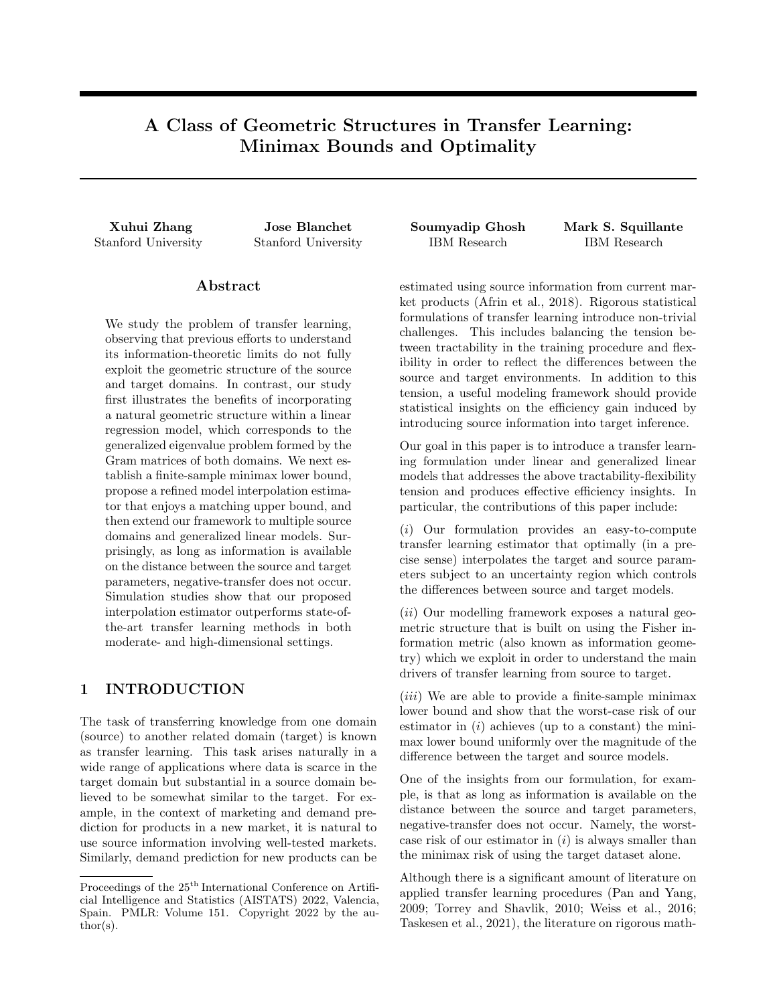To see that the worst-case risk (14) is also smaller than that of the pooling method, we can compute

$$
\frac{1}{\frac{1}{\tau_7} + \frac{1}{\tau_7 U^2 + \frac{2}{\tau_7}}} \sigma_\tau^2 \left(\frac{1}{1+\lambda_i}\right)^2 \sigma_S^2 \frac{\lambda_i}{(1+\lambda_i)^2}
$$
\n
$$
= \left(\frac{\lambda_i}{1+\lambda_i}\right)^2 \frac{\lambda_i \sigma_\tau^2 + (2\sigma_\tau^2 - \sigma_S^2)}{\lambda_i \sigma_\tau^2 + \lambda_i \alpha_i^2 U^2 + \sigma_S^2} \alpha_i^2 U^2 + \frac{\lambda_i}{(1+\lambda_i)^2} \frac{2\sigma_S^2 \sigma_\tau^2 - \sigma_S^4}{\lambda_i \sigma_\tau^2 + \lambda_i \alpha_i^2 U^2 + \sigma_S^2}
$$
\n
$$
= \left(\frac{\lambda_i}{1+\lambda_i}\right)^2 \frac{\lambda_i \sigma_\tau^2 + (2\sigma_\tau^2 - \sigma_S^2) + \frac{2}{\tau_7} \frac{2}{\tau_7} \frac{4}{\tau_7}}{\lambda_i \sigma_\tau^2 + \lambda_i \alpha_i^2 U^2 + \sigma_S^2} \alpha_i^2 U^2.
$$

It is then readily verified that

$$
(2\sigma_T^2 \quad \sigma_S^2) + \frac{2\sigma_S^2 \sigma_T^2 \quad \sigma_S^4 \quad \sigma_T^4}{\lambda_i \alpha_i^2 U^2} \quad \lambda_i \alpha_i^2 U^2 + \sigma_S^2,
$$

as this is equivalent to

$$
2(\sigma_T^2 \quad \sigma_S^2)\lambda_i\alpha_i^2 U^2 \quad (\lambda_i\alpha_i^2 U^2)^2 + (\sigma_S^2 \quad \sigma_T^2)^2.
$$

Hence, we have the desired inequality

$$
\sum_{i=1}^d \frac{1}{\frac{1}{\tau_i^2} + \frac{1}{\tau_i^2 u^2 + \frac{2}{\tau_i^2}}} U^2 \max_{1 \ i \ d} \left\{ \left( \frac{\lambda_i}{1 + \lambda_i} \right)^2 \right\} + \sigma_T^2 \sum_{i=1}^d \left( \frac{1}{1 + \lambda_i} \right)^2 + \sigma_S^2 \sum_{i=1}^d \frac{\lambda_i}{(1 + \lambda_i)^2}.
$$

### A.5 Proof of Theorem 3.1

Theorem 3.1. A lower bound of the minimax risk corresponding to the GLMs is given by

$$
\inf_{\mathsf{b}} \sup_{D\left(s_{m};\tau\right)} \sup_{U_{m}^{2}\text{,}\mathcal{B}m} \mathbb{E}\left[\ell(\hat{\theta},\theta_{\tau})\right] \quad \frac{e^{-1}}{800} \frac{d}{\sum_{m=1}^{M} \frac{1}{\frac{U_{m}^{2}}{G_{m}} + \frac{a^{(m)}(s_{m})}{G_{m}}}} + \frac{C_{\tau}}{b(\tau)}
$$

.

*Proof.* First consider the case where  $d \quad 100$ , for which we use Le Cam's method (Tsybakov, 2008, Chapter 2). For two pairs of parameters  $(\theta_{S_1}^0, \ldots, \theta_{S_M}^0, \theta_{\tau}^0)$  and  $(\theta_{S_1}^1, \ldots, \theta_{S_M}^1, \theta_{\tau}^1)$ , we have

$$
\inf_{\mathbf{b}} \sup_{D(\mathbf{s}_m; \tau)} \sup_{\mathbf{b} \in [\ell(\widehat{\theta}, \theta_{\mathcal{T}})]} \quad \frac{\ell(\theta_{\mathcal{T}}^0, \theta_{\mathcal{T}}^1)}{16} \exp \left\{ \text{ KL}((\theta_{\mathcal{S}_1}^0, \dots, \theta_{\mathcal{S}_M}^0, \theta_{\mathcal{T}}^0); (\theta_{\mathcal{S}_1}^1, \dots, \theta_{\mathcal{S}_M}^1, \theta_{\mathcal{T}}^1)) \right\}.
$$

By independence, we note that

$$
\mathrm{KL}((\theta_{S_1}^0,\ldots,\theta_{S_M}^0,\theta_{T}^0);(\theta_{S_1}^1,\ldots,\theta_{S_M}^1,\theta_{T}^1)) = \sum_{m=1}^M \mathrm{KL}(\theta_{S_m}^0;\theta_{S_m}^1) + \mathrm{KL}(\theta_{T}^0;\theta_{T}^1)
$$

and

$$
KL(\theta_{S_m}^0; \theta_{S_m}^1) = \frac{1}{a^{(m)}(\sigma_{S_m})} \sum_{i=1}^{n_{S_m}} (\Psi^{(m)}(hx_i^{(m)}, \theta_{S_m}^1) - \Psi^{(m)}(hx_i^{(m)}, \theta_{S_m}^0))
$$

$$
\frac{\hbar(\Psi^{(m)})^o(hx_i^{(m)}, \theta_{S_m}^0) x_i^{(m)}, \theta_{S_m}^1 - \theta_{S_m}^0)}{a^{(m)}(\sigma_{S_m})} \sum_{i=1}^{n_{S_m}} \frac{1}{2} C_{S_m} \sum_{j,k} x_{ij}^{(m)} x_{ik}^{(m)}(\theta_{S_m}^1 - \theta_{S_m}^0) j(\theta_{S_m}^1 - \theta_{S_m}^0) k
$$

$$
\frac{C_{S_m}}{2a^{(m)}(\sigma_{S_m})} (\theta_{S_m}^1 - \theta_{S_m}^0)^{>}(X^{(m)})^{>} X^{(m)}(\theta_{S_m}^1 - \theta_{S_m}^0)
$$

$$
\frac{\lambda_1^{(m)} C_{S_m}}{2a^{(m)}(\sigma_{S_m})} (\theta_{S_m}^1 - \theta_{S_m}^0)^{>} W^{>} W(\theta_{S_m}^1 - \theta_{S_m}^0).
$$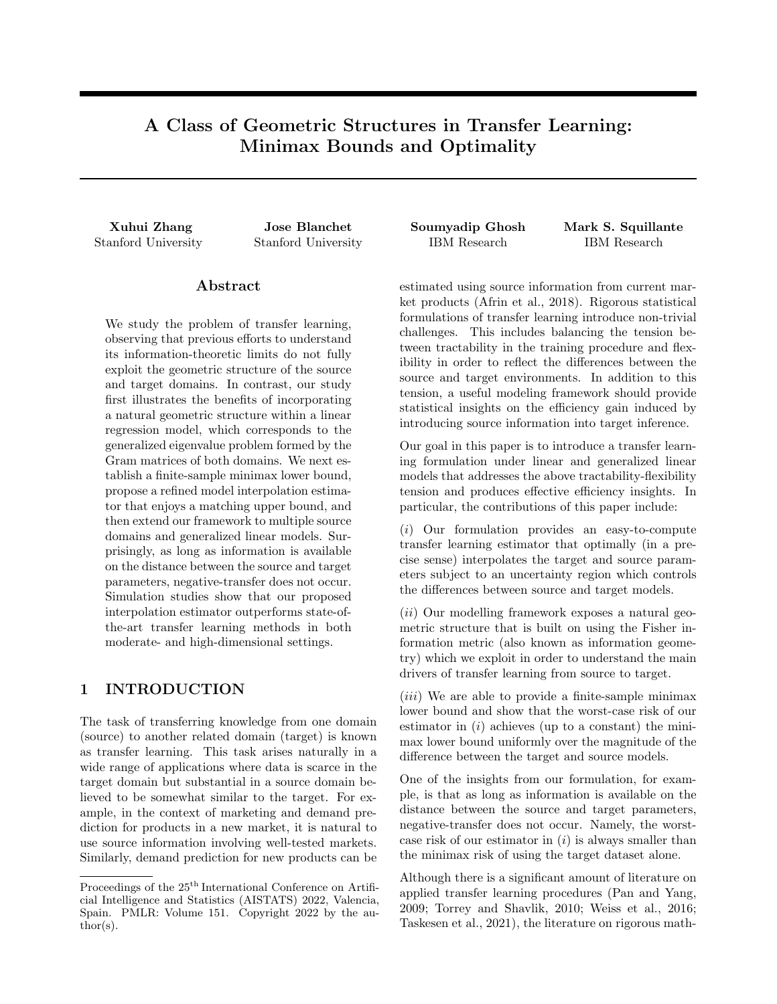Similarly, we obtain

$$
\mathrm{KL}(\theta_{\mathcal{T}}^0; \theta_{\mathcal{T}}^1) - \frac{C_{\mathcal{T}}}{2b(\sigma_{\mathcal{T}})} (\theta_{\mathcal{T}}^1 - \theta_{\mathcal{T}}^0)^> \mathbf{W}^> \mathbf{W}(\theta_{\mathcal{T}}^1 - \theta_{\mathcal{T}}^0).
$$

Then, by Le Cam's bound (Tsybakov, 2008, Chapter 2), we have

$$
\begin{split} \inf_{\mathbf{b}} \sup_{D(\mathbf{s}_{m};\;\tau)} \sup_{U_{m}^{2}\beta m} \mathbb{E}[\ell(\hat{\theta},\theta_{\mathcal{T}})] &= \frac{\ell(\theta_{\mathcal{T}}^{0},\theta_{\mathcal{T}}^{1})}{16} \exp\left\{ \begin{array}{cc} \mathrm{KL}((\theta_{\mathcal{S}_{1}}^{0},\ldots,\theta_{\mathcal{S}_{M}}^{0},\theta_{\mathcal{T}}^{0});(\theta_{\mathcal{S}_{1}}^{1},\ldots,\theta_{\mathcal{S}_{M}}^{1},\theta_{\mathcal{T}}^{1})) \right\} \\ & \frac{(\theta_{\mathcal{T}}^{1} - \theta_{\mathcal{T}}^{0})^{\times}\mathbf{W}^{\times}\mathbf{W}(\theta_{\mathcal{T}}^{1} - \theta_{\mathcal{T}}^{0})}{16} \exp\left\{ \begin{array}{cc} C_{\mathcal{T}} & \\ \frac{C_{\mathcal{T}}}{2b(\sigma_{\mathcal{T}})}(\theta_{\mathcal{T}}^{1} - \theta_{\mathcal{T}}^{0})^{\times}\mathbf{W}^{\times}\mathbf{W}(\theta_{\mathcal{T}}^{1} - \theta_{\mathcal{T}}^{0}) \right\} \\ & \exp\left\{ \begin{array}{cc} \sum_{m=1}^{M} \frac{\lambda_{1}^{(m)}C_{\mathcal{S}_{m}}}{2a^{(m)}(\sigma_{\mathcal{S}_{m}})}(\theta_{\mathcal{S}_{m}}^{1} - \theta_{\mathcal{S}_{m}}^{0})^{\times}\mathbf{W}^{\times}\mathbf{W}(\theta_{\mathcal{S}_{m}}^{1} - \theta_{\mathcal{S}_{m}}^{0}) \right\} \\ & \frac{k\beta_{\mathcal{T}}^{1} - \beta_{\mathcal{T}}^{0}k_{\mathcal{Z}}^{2}}{16} \exp\left\{ \begin{array}{cc} \sum_{i=1}^{d} \left( \frac{C_{\mathcal{T}}}{2b(\sigma_{\mathcal{T}})}(\beta_{\mathcal{T}}^{1} - \beta_{\mathcal{T}}^{0})_{i}^{2} + \sum_{m=1}^{M} \frac{\lambda_{1}^{(m)}C_{\mathcal{S}_{m}}}{2a^{(m)}(\sigma_{\mathcal{S}_{m}})}(\beta_{\mathcal{S}_{m}}^{1} - \beta_{\mathcal{S}_{m}}^{0})_{i}^{2} \right) \end{array} \right\
$$

where

$$
\theta_{\mathcal{T}}^j = E\beta_{\mathcal{T}}^j, \theta_{\mathcal{S}_m}^j = E\beta_{\mathcal{S}_m}^j
$$

and  $E \supseteq \mathbb{R}^{d-d}$  is any matrix that satisfies

$$
E^{\geq} \mathbf{W}^{\geq} \mathbf{W} E = I.
$$

By Lemma A.1, for any  $K = \frac{1}{4}$ , we can choose  $\beta^0_\tau, \beta^1_\tau, \beta^0_{S_m}, \beta^1_{S_m}, m \geq [M]$ , such that

$$
(\beta_7^0 \quad \beta_{S_m}^0)^2_i \quad \frac{U_m^2}{d}, (\beta_7^1 \quad \beta_{S_m}^1)^2_i \quad \frac{U_m^2}{d}, (\beta_7^0 \quad \beta_7^1)^2 = \frac{1}{K} \frac{1}{\sum_{k=1}^M \frac{1}{\frac{U_k^2}{d} + \frac{a^{(k)}(S_k)}{C_{S_k} - 1}}} + \frac{C_T}{b^{(k)}(S_k)}
$$

and

$$
(\beta_{S_m}^0 \quad \beta_{S_m}^1)^2_i \quad \frac{1}{K} \frac{\frac{1}{\frac{U_m^2}{d} + \frac{a^{(m)}(s_m)}{c_{S_m}}}\frac{a^{(m)}(s_m)}{c_{S_m}}}{\frac{1}{\frac{U_m^2}{d} + \frac{a^{(k)}(s_k)}{c_{S_k}}+\frac{C_T}{b^{(T)}}}}.
$$

We therefore conclude

$$
\frac{k\beta_T^1}{16} \frac{\beta_T^0 k_2^2}{16} \exp\left\{ \sum_{i=1}^d \left( \frac{C_T}{2b(\sigma_T)} (\beta_T^1 \beta_T^0)^2_i + \sum_{m=1}^M \frac{\lambda_1^{(m)} C_{S_m}}{2a^{(m)}(\sigma_{S_m})} (\beta_{S_m}^1 \beta_{S_m}^0)^2_i \right) \right\}
$$
  

$$
\frac{\exp\left(\frac{d}{2K}\right)}{16K} \frac{d}{\sum_{k=1}^M \frac{1}{\frac{U_k^2}{\sigma^2} + \frac{a^{(k)}(\sigma_{S_k})}{\sigma_{S_k} + \frac{C_T}{\sigma_{S_k} + \frac{C_T}{\sigma_{S_k} + \frac{C_T}{\sigma_{S_k} + \frac{C_T}{\sigma_{S_k} + \frac{C_T}{\sigma_{S_k} + \frac{C_T}{\sigma_{S_k} + \frac{C_T}{\sigma_{S_k} + \frac{C_T}{\sigma_{S_k} + \frac{C_T}{\sigma_{S_k} + \frac{C_T}{\sigma_{S_k} + \frac{C_T}{\sigma_{S_k} + \frac{C_T}{\sigma_{S_k} + \frac{C_T}{\sigma_{S_k} + \frac{C_T}{\sigma_{S_k} + \frac{C_T}{\sigma_{S_k} + \frac{C_T}{\sigma_{S_k} + \frac{C_T}{\sigma_{S_k} + \frac{C_T}{\sigma_{S_k} + \frac{C_T}{\sigma_{S_k} + \frac{C_T}{\sigma_{S_k} + \frac{C_T}{\sigma_{S_k} + \frac{C_T}{\sigma_{S_k} + \frac{C_T}{\sigma_{S_k} + \frac{C_T}{\sigma_{S_k} + \frac{C_T}{\sigma_{S_k} + \frac{C_T}{\sigma_{S_k} + \frac{C_T}{\sigma_{S_k} + \frac{C_T}{\sigma_{S_k} + \frac{C_T}{\sigma_{S_k} + \frac{C_T}{\sigma_{S_k} + \frac{C_T}{\sigma_{S_k} + \frac{C_T}{\sigma_{S_k} + \frac{C_T}{\sigma_{S_k} + \frac{C_T}{\sigma_{S_k} + \frac{C_T}{\sigma_{S_k} + \frac{C_T}{\sigma_{S_k} + \frac{C_T}{\sigma_{S_k} + \frac{C_T}{\sigma_{S_k} + \frac{C_T}{\sigma_{S_k} + \frac{C_T}{\sigma_{S_k} + \frac{C_T}{\sigma_{S_k} + \frac{C_T}{\
$$

where  $K = 50$  is chosen.

Now, for  $d = 100$ , we use Fano's method (Tsybakov, 2008, Chapter 2). Let

$$
h = \sqrt{\frac{1}{4K} \frac{1}{\sum_{k=1}^{M} \frac{1}{\frac{U_{k}^{2}}{d} + \frac{a^{(k)}(S_{k})}{C_{S_{k}}} + \frac{C_{T}}{b(\tau)}}},
$$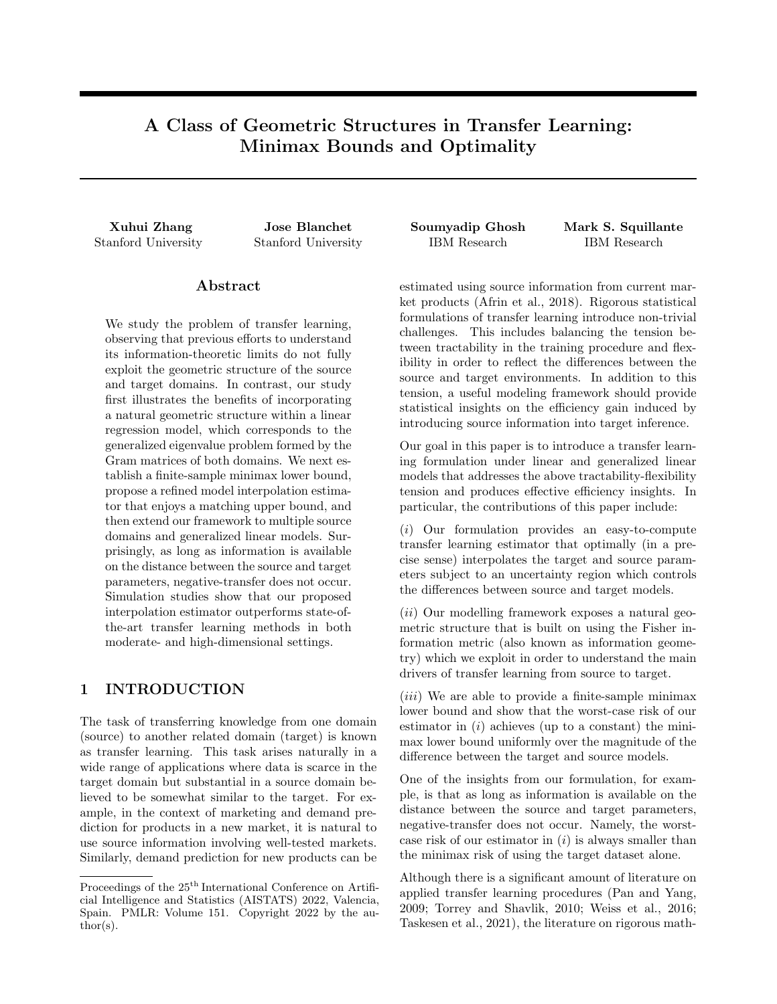and consider the hypercube

$$
C = f\beta \ 2\mathbb{R}^d : \beta_i \ 2\ f \ h, hg, i = 1, \ldots, dg.
$$

Then, by the Varshamov-Gilbert Lemma, since d 8, there exists a pruned hypercube  $\beta^0_\tau, \ldots, \beta^J_\tau$  2 C such that  $J \quad 2^{d-8}$  and  $H(\beta_7^j, \beta_7^k) \quad \frac{d}{8}$  for  $0 \quad j < k \quad J$ , where H denotes the Hamming distance, namely

$$
H(\beta_{\mathcal{T}}^j, \beta_{\mathcal{T}}^k) = \sum_{i=1}^d Id_{f(\beta_{\mathcal{T}}^j)_i \notin (\beta_{\mathcal{T}}^k)_i g}.
$$

We therefore have

$$
\min_{j \text{\'et}} k \beta_{7}^{j} \quad \beta_{7}^{k} k_{2}^{2} \quad \frac{d}{8K} \frac{1}{\sum_{k=1}^{M} \frac{1}{\frac{U_{k}^{2}}{d} + \frac{a^{(k)}(\mathcal{S}_{k})}{C_{S_{k}}} + \frac{C_{7}}{b(\mathcal{S}_{7})}}}
$$

By Lemma A.1, for any  $m \n\geq |M|$ , there exists  $k_m$  such that  $0 \quad k_m$  h and

$$
(h \t k_m)^2 \frac{U_m^2}{d}, (2k_m)^2 \frac{1}{K} \frac{\frac{1}{\frac{U_m^2}{d} + \frac{a(m)}{C_{Sm}} \frac{G_m}{C_{Sm}}}^{\frac{1}{\frac{U_m^2}{d} + \frac{a(m)}{C_{Sm}}} \frac{G_m}{C_{Sm}}}^{\frac{1}{\frac{U_m^2}{d} + \frac{a(m)}{C_{Sm}}} \frac{G_m}{C_{Sm}}}.
$$

Hence, choosing  $\beta_{\mathcal{S}_m}^j, j = 0, \ldots, J$ , such that

$$
\beta 1 \quad i \quad d, (\beta^j_{S_m})_i = \begin{cases} k_m & \text{if } (\beta^j_{\mathcal{T}})_i = h \\ k_m & \text{if } (\beta^j_{\mathcal{T}})_i = h \end{cases},
$$

we obtain

$$
k\beta^j
$$
,  $\beta^j_{S_m}k^2$ ,  $U^2_m$ ,  $j = 0,..., J$ ,  $m \ 2 [M]$ ,

and

$$
\mathrm{KL}((\theta_{\mathcal{S}_1}', \dots, \theta_{\mathcal{S}_M}', \theta_{\mathcal{T}}'); (\theta_{\mathcal{S}_1}'', \dots, \theta_{\mathcal{S}_M}'', \theta_{\mathcal{T}}^k)) \quad \frac{d}{2K}, \qquad \partial \!0 \quad j < k \quad M.
$$

We therefore have, by Fano's bound (Tsybakov, 2008, Chapter 2),

$$
\inf_{\text{b}} \sup_{D\left(s_{m};\tau\right)} \sup_{U_{m}^{2}\beta m} \mathbb{E}\left[\ell(\hat{\theta},\theta_{\tau})\right] \quad \frac{\min_{j\in k} k\beta_{\tau}^{j} \quad \beta_{\tau}^{k}k_{2}^{2}}{4} \left(1 - \frac{\frac{d}{2K} + \log 2}{\log J}\right)
$$
\n
$$
\frac{1}{32K} \left(1 - \frac{4}{K\log 2} - \frac{8}{d}\right) \frac{d}{\sum_{k=1}^{M} \frac{1}{\frac{U_{k}^{2}}{d} + \frac{a^{(k)}(S_{k})}{C_{S_{k}} + \frac{b^{(k)}(S_{k})}{b^{(k)}(I)}} + \frac{C_{\tau}}{b^{(k)}(I)}}}
$$
\n
$$
\frac{3}{3200} \frac{d}{\sum_{k=1}^{M} \frac{1}{\frac{U_{k}^{2}}{d} + \frac{a^{(k)}(S_{k})}{C_{S_{k}} + \frac{b^{(k)}(S_{k})}{b^{(k)}(I)}} + \frac{C_{\tau}}{b^{(k)}(I)}}},
$$

where  $K = \frac{50}{3}$  is chosen and recalling that  $d \quad 100$ .

## A.6 Proof of Remark 3.1

Remark 3.1. For the non-transfer learning setting considered in Lee and Courtade (2020), our proof method gives rise to a lower bound of

$$
d \, b(\sigma_{\mathcal{T}})/C_{\mathcal{T}}
$$

which is sharper than their lower bound of

$$
\max \left\{ \frac{k \Lambda_\mathbf{W} k_1^2}{k \Lambda_\mathbf{W} k_2^2}, \lambda_{min} (\mathbf{W}^\gt \mathbf{W}) k \Lambda_\mathbf{W}^{-1} k_1 \right\} \ b(\sigma_T) / C_T,
$$

where  $\Lambda_\mathbf{W}$  is the vector of eigenvalues of the positive-de  $\,$ nite matrix  $\mathbf{W}^>\mathbf{W}$ , and  $\Lambda_\mathbf{W}^{-1}$  denotes its coordinate-wise inverse.

 $\Box$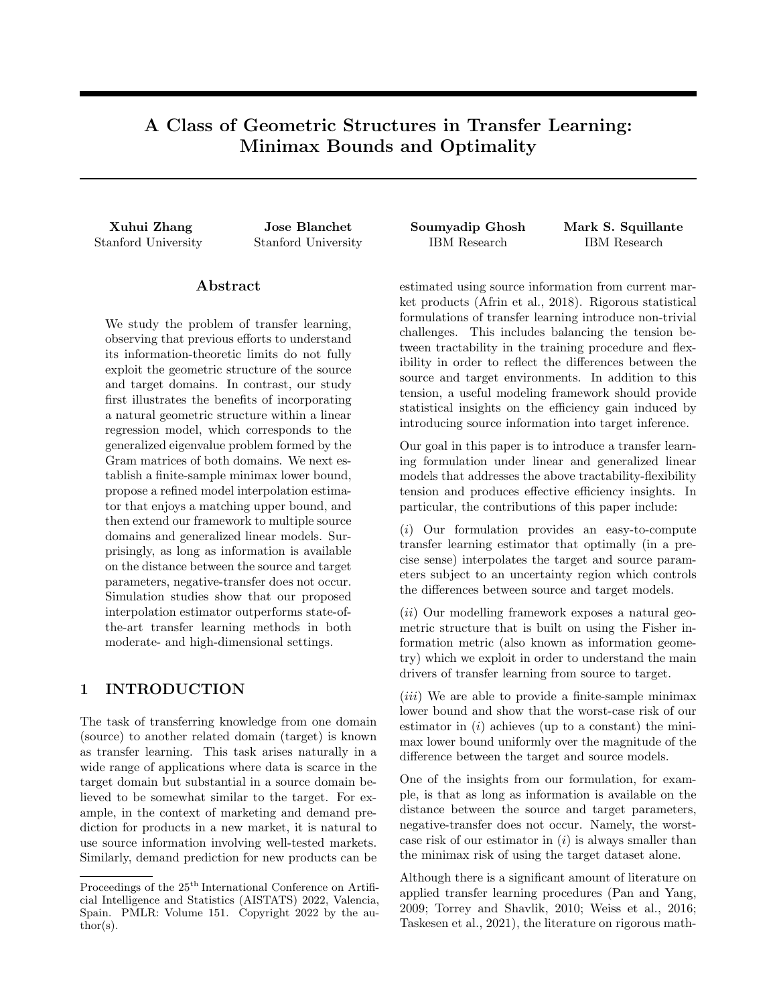$k\Lambda_{\mathbf{W}}k_1^2$   $k\Lambda_{\mathbf{W}}k_2^2d$ .

 $\lambda_{\sf min}({\bf W}^{\gt} {\bf W}) k \Lambda_{\bf W}^{-1} k_{1} \quad \, d,$ 

Proof. By Holder's inequality, we have

It is also readily verified that

and the desired result follows.

## A.7 Proof of Corollary 3.1

Corollary 3.1. When the GLMs considered are Gaussian LRMs, then a lower bound of the minimax risk is

$$
\inf_{\mathsf{b}} \sup_{D\left(s_m; \tau\right)} \sup_{U_m^2, \mathcal{B}m} \mathbb{E}\left[\ell(\widehat{\theta}, \theta_\tau)\right] \quad \frac{e^{-1}}{800} \frac{d}{\sum_{m=1}^M \frac{1}{\frac{U_m^2}{\delta} + \frac{2}{\binom{m}{1}}} + \frac{1}{\frac{7}{4}}}
$$

*Proof.* Upon simply noting that, for Gaussian LRMs, we have  $a^{(m)}(\sigma_{S_m}) = \sigma_{S_m}^2$ ,  $b(\sigma_{\tau}) = \sigma_{\tau}^2$  and  $C_{S_m} = C_{\tau} = 1$ , the desired result then follows.

### A.8 Auxiliary Result on the GLM Upper Bound

We now provide details on the GLM upper bound in equation (20), where we additionally assume that

$$
\inf_{Z} (\Psi^{(m)})^{\omega}(z) \quad L_{S_m} \, \mathcal{S}m, \qquad \inf_{Z} \Gamma^{\omega}(z) \quad L_{\mathcal{T}}.
$$

Consider the usual MLE estimator  $\widehat{\theta}_{S_m}$  and  $\widehat{\theta}_{T}$  for the source and target domains, and further consider a simplified interpolator

$$
\widehat{\theta}_t = \sum_{m=1}^M t_m \widehat{\theta}_{S_m} + t_{M+1} \widehat{\theta}_T, \qquad \sum_{m=1}^{M+1} t_m = 1, \quad t_m \quad 0.
$$

For any fixed admissible parameters satisfying  $D(\theta_{S_m}, \theta_{T})$   $U_m^2$ ,  $\mathcal{S}m$ , we claim that with probability at least 1 e  $\degree$ , it holds that

$$
\ell(\widehat{\theta}_{t^2}, \theta_{\mathcal{T}}) = (\widehat{\theta}_{t^2} \quad \theta_{\mathcal{T}}) \mathbf{W}^{\geq} \mathbf{W}(\widehat{\theta}_{t^2} \quad \theta_{\mathcal{T}}) \quad \frac{d}{\sum_{m=1}^M \frac{1}{\frac{U_{m}^2}{d} + \frac{2C_{Sm}a^{(m)}(\mathcal{S}_m)}{L_{\mathcal{S}_m}^2}(\mathcal{C} + \log(2dm))} + \frac{1}{\frac{2C_{\mathcal{T}}b(\mathcal{S}_r)}{L_{\mathcal{T}}^2}(\mathcal{C} + \log(2dm))},
$$

where  $t^2$  solves

$$
\inf_{t=(t_1,...,t_{\mathsf{M}+1})} \inf_{0,\atop{\mathsf{D}}\to \atop{m=1}} \mathop{\rm l\negthinspace\bullet}_{t_{m-1}} t_m^2 = \frac{1}{2}\int_{m=1}^{\mathsf{M}} t_m^2 \left( \frac{2dC_{\mathsf{S}_m}a^{(m)}(\sigma_{\mathsf{S}_m})}{L^2_{\mathsf{S}_m}\lambda_d^{(m)}}(c+\log(2dm)) + U_m^2 \right) + t_{\mathsf{M}+1}^2 \frac{2dC_Tb(\sigma_T)}{L^2_T}(c+\log(2dm)).
$$

Given that the dimension and number of sources are fixed, we consider  $c \log(2dm)$  and compare against our lower bound in Theorem 3.1, namely

$$
\frac{e^{-1}}{800} \frac{d}{\sum_{m=1}^{M} \frac{1}{\frac{U_{m}^{2}}{d} + \frac{a^{(m)}(-S_{m})}{C_{S_{m}}} + \frac{C_{T}}{b(-\tau)}}},
$$

from which we find that there are gaps due to the ratios  $\frac{C_{S_m}}{L_{S_m}}, \frac{C_T}{L_{\tau}}$  and the eigen gap  $\frac{1}{\binom{m}{d}}$ .

Proof of Upper Bound. Using the sub-Gaussian concentration bound for GLM noise and the trick in Lemma 8 of Bastani (2021), we have the concentration bounds

$$
P\left((\widehat{\theta}_{S_m} \quad \theta_{S_m}) \mathbf{W}^{\geq} \mathbf{W}(\widehat{\theta}_{S_m} \quad \theta_{S_m}) \quad \frac{2dC_{S_m}a^{(m)}(\sigma_{S_m})}{L_{S_m}^2 \lambda_d^{(m)}}(c_1 + \log(2d))\right) > 1 \quad e^{-c_1}, \qquad \partial_m \mathcal{Q}[M],
$$

$$
\overline{a}
$$

.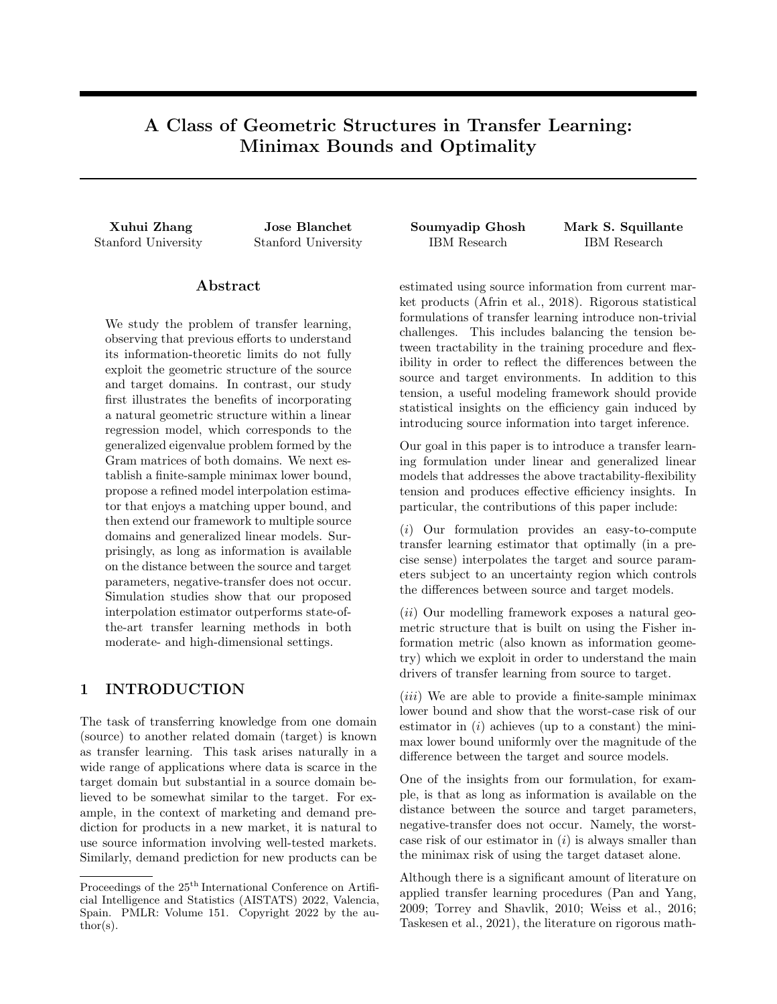and

$$
P\left((\widehat{\theta}_{\mathcal{T}} \quad \theta_{\mathcal{T}}) \mathbf{W}^{\geq} \mathbf{W}(\widehat{\theta}_{\mathcal{T}} \quad \theta_{\mathcal{T}}) \quad \frac{2dC_{\mathcal{T}}b(\sigma_{\mathcal{T}})}{L_{\mathcal{T}}^2}(c_1 + \log(2d))\right) > 1 \quad e^{-c_1}.
$$

Due to independence, the probability of the intersection of the events happening is greater than  $(1 \text{ }$  $c_1$  )  $m$ 1 2me  $c_1$  for large  $c_1$ . On the intersection of the events, we solve the problem

$$
\inf_{t=(t_1,\ldots,t_{M+1})} \inf_{0,\atop D\subset \mathcal{M}+1} \sum_{m=1}^M t_m^2 \left( \frac{2dC_{S_m}a^{(m)}(\sigma_{S_m})}{L_{S_m}^2 \lambda_d^{(m)}} (c_1 + \log(2d)) + U_m^2 \right) + t_{M+1}^2 \frac{2dC_Tb(\sigma_T)}{L_T^2} (c_1 + \log(2d)),
$$

with optimal solution  $t^2$ . We have that the optimal interpolator defined by

$$
\widehat{\theta}_{t^2} = \sum_{m=1}^M t_m^2 \widehat{\theta}_{S_m} + t_{M+1}^2 \widehat{\theta}_T,
$$

satisfies

$$
(\widehat{\theta}_t, \quad \theta_T) \mathbf{W}^{\geq} \mathbf{W}(\widehat{\theta}_t, \quad \theta_T) \quad \frac{d}{\sum_{m=1}^M \frac{1}{\frac{U_m^2}{d} + \frac{2C_{S_m}a^{(m)}(\cdot S_m)}{L_{S_m}^2} (c_1 + \log(2d))} + \frac{1}{\frac{2C_Tb(\cdot - T)}{L_T^2} (c_1 + \log(2d))}}.
$$

 $\Box$ 

We choose  $c_1 = c_1^{\circ} + \log(2m)$  so that this event happens with probability at least 1  $e^{-c_1^{\circ}}$ .

### A.9 Auxiliary Result on the Comparison with Kalan et al. (2020)

Kalan et al. (2020) study a minimax lower bound for the linear regression setting (albeit under random design) and involve the spectral gap of the generalized eigenvalue problem we consider, with analogous definitions for the population distribution of their random design setting. The significance of our geometric perspective is best illustrated in comparison with their results where, in strong contrast, our analysis (in fixed design) takes care of the entire spectrum of the generalized eigenvalues. More precisely, our lower bound scaled by  $1/n<sub>T</sub>$  is lower bounded by (ignoring the constant  $\exp(-1/2)/16$ ):

$$
\frac{1}{n_{\mathcal{T}}} \sum_{i=1}^{d} \frac{1}{\frac{1}{2} + \frac{1}{\hat{\gamma}U^2 + \frac{2}{i}}} \text{ Desectral gap'' } \frac{1}{n_{\mathcal{T}}} \frac{d\sigma^2}{1 + \frac{1}{\frac{U^2}{\sigma^2} + \frac{1}{i}}} \quad \frac{1}{n_{\mathcal{T}}} \begin{cases} c_1 \sigma^2 d & \text{if } U^2 \quad \tilde{c}_1 \sigma^2 d, \\ c_2 U^2 & \text{if } \tilde{c}_2 \frac{d}{1 + d} \quad U^2 \quad \tilde{c}_1 \sigma^2 d, \\ c_3 \frac{d}{1 + d} & \text{if } U^2 \quad \tilde{c}_2 \frac{d}{1 + d}, \end{cases}
$$

where  $c_i$ ,  $\tilde{c}_i$  are universal constants. The last expression essentially amounts to the lower bound in equation (3.1) in Kalan et al. (2020), adjusting for the random designs and the scaling of U. We emphasize that the spectral gap may cause the last expression to be arbitrarily suboptimal, e.g., when  $U = o(1)$ ,  $\lambda_1$ ! 1 and  $\lambda_d = O(1)$ , while our analysis is sharp (i.e., the upper bound and lower bound match).

### B Simulation Results

We first describe the choice of the algorithm from Li et al. (2020) used for comparison against our proposed method. Since the setting is a single source domain from which learning is transferred to a target domain, we only consider Algorithm 1 from Li et al. (2020), i.e., the (original) Oracle Trans-Lasso algorithm. Algorithm 4 from Li et al.  $(2020)$  uses the  $l_0$ -norm to quantify the difference between the source and target parameters. However, for this algorithm, they require that the  $l_0$ -difference (denoted by  $h_0$ ) is much smaller than the  $l_0$  sparsity of the target parameter (denoted by  $s$ ) for the learning to be effective, which does not hold in our simulation settings and in the real-world dataset (where  $h_0 = 8$  and s 8 from Table 4 and Figure 8 in Section B.2). The Oracle Trans-Lasso algorithm from Appendix C.2 in Li et al. (2020) uses the  $l_q$ -norm,  $q \n\geq (0,1)$ , to quantify the difference between the source and target parameters. However, for this algorithm, they require that the  $l_q$ -difference (denoted by  $h_q$ ) is much smaller than  $\sqrt{s \log d/n_{\mathcal{T}}}$  for the learning to be effective, which also does not hold in our simulation settings and in the real-world dataset (refer to Table 4 in Section B.2 and note that  $\sqrt{\log d/n_I}$  is between 0.018 and 0.2). We therefore choose to compare our proposed method with Algorithm 1 from Li et al. (2020), which uses the  $l_1$ -norm to quantify the difference.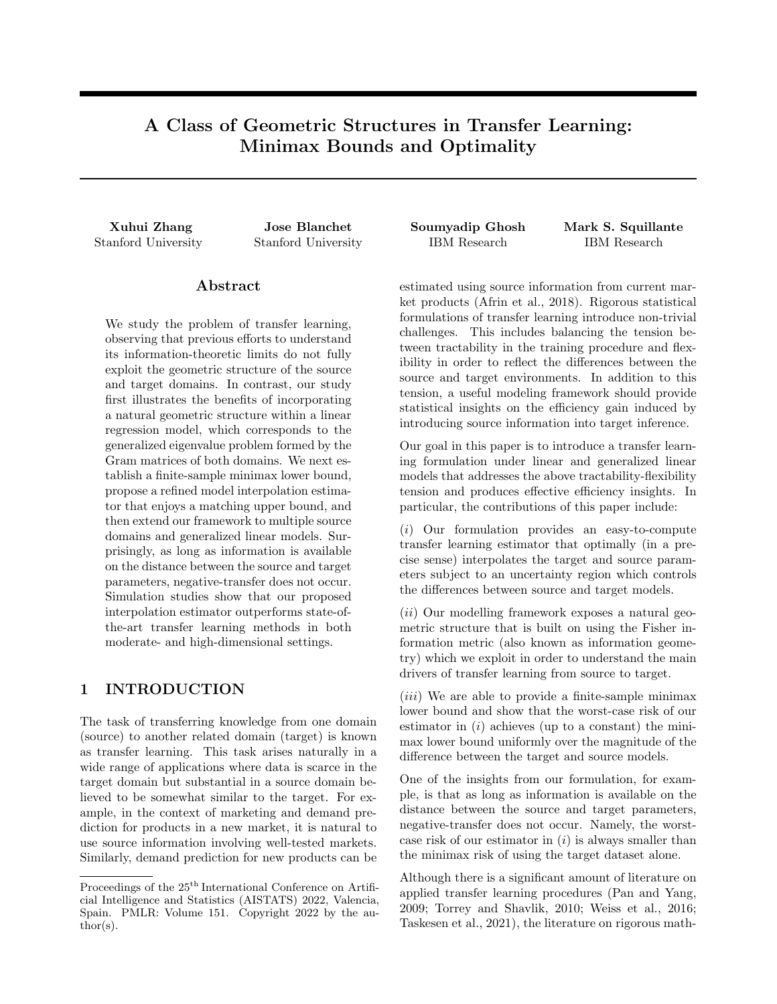### B.1 Additional Simulation Comparisons

As part of our additional simulation results related to the misspecification of  $U$ , we vary the parameter values from the baseline in Section 4.1 such that the rows of  $X$  are generated independently by a zero-mean Gaussian with a Toeplitz covariance matrix (Li et al., 2020, Section 5.2), or that both  $X$  and  $W$  are generated in this way. The corresponding results are provided in the left plot and right plot of Figure 2, respectively. We observe from these results that the introduction of correlation, either in only  $X$  or in both  $X$  and  $W$ , does not impact the performance of either method when compared to the uncorrelated case in the left plot of Figure 1.



Figure 2: Simulation Results with Toeplitz Covariance Matrix for Designs. Solid Lines (Dashed Lines) Represent the Proposed Method (Basic Pooling Method).

We also consider varying the noise variances. In particular, the noise variances are changed to  $\sigma_S^2 = 1, \sigma_T^2 = 5$ or  $\sigma_S^2 = 5, \sigma_T^2 = 1$ , the results of which are provided in the left plot and right plot of Figure 3, respectively. The proposed method handles large variances in the source data much better than the basic pooling method, while high variance in (smaller sized) target data has no significant impact on either method.



Figure 3: Simulation Results with Unequal Noise Variances. Solid Lines Represent the Proposed Method. Dashed Lines Represent the Basic Pooling Method.

We further consider varying the different dimensions. In particular, the dimension d is changed to 5 or  $d = 100$ with  $\beta_{\tau}$  three-sparse; specifically, the first three elements of  $\beta_{\tau}$  are one and the rest are zero. The corresponding results are provided in the left plot and right plot of Figure 4, respectively. Lower dimensionality (left) seems to improve the performance gap between the two methods as compared to the left plot of Figure 1, while this gap shortens in high-dimensions with extreme sparsity (right).

We additionally consider varying the magnitude (sup-norm) of the ground truth value of the parameter  $\beta$ <sup>T</sup> from the baseline in Section 4.1 such that  $\beta_{\tau}$  is the vector whose component values are all 0.1, or that  $\beta_{\tau}$  is the vector whose component values are all 10. The corresponding results are provided in the left plot and right plot of Figure 5, respectively. We observe that the plots remain exactly the same as the left plot of Figure 1, which is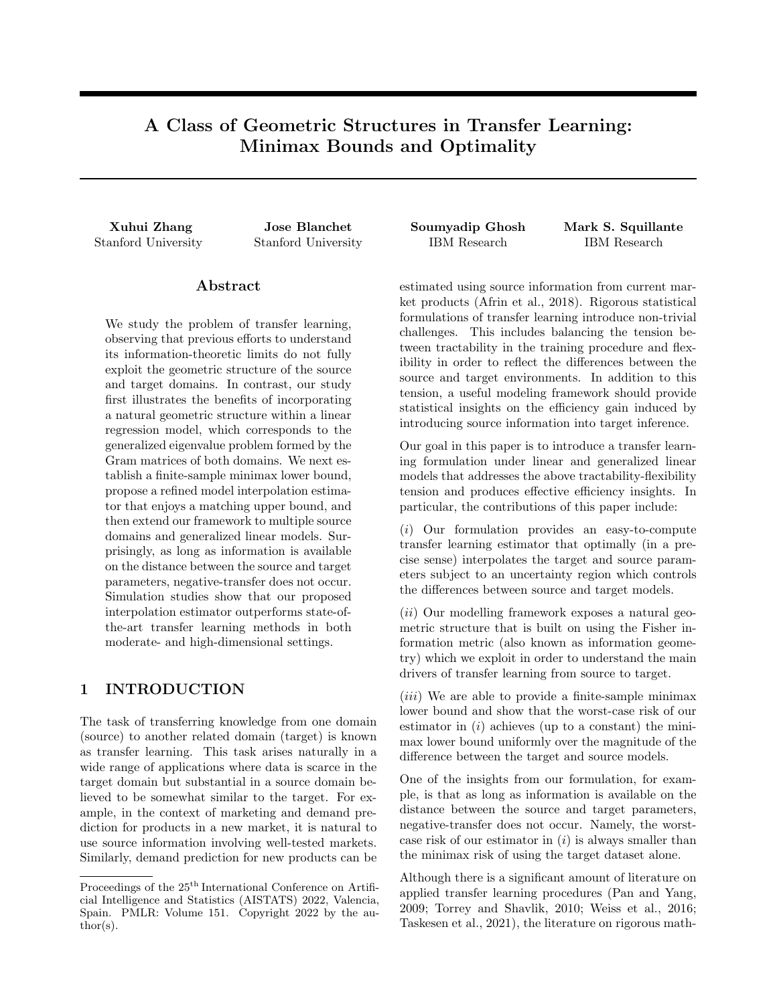

Figure 4: Simulation Results with Different Dimensions. Solid Lines Represent the Proposed Method. Dashed Lines Represent the Basic Pooling Method.

consistent with Theorem 2.1 that the worst-case performance of our method does not depend on the magnitude of  $\beta$ <sub>7</sub>, and similarly for the basic pooling method.



Figure 5: Simulation Results with Different Magnitudes of the Ground Truth  $\beta$ <sub>T</sub>. Solid Lines (Dashed Lines) Represent the Proposed Method (Basic Pooling Method).

We next investigate the behavior of the performance gap as the sample size increases. In particular, we vary the sample sizes to be  $n<sub>S</sub> = 10000$  and  $n<sub>T</sub> = 1000$ , and present the corresponding results in Figure 6. We observe from these results that the plot remains the same as the left plot of Figure 1, demonstrating the robustness of the performance gap.

As part of our additional simulation results related to the comparisons against competing methods in the literature, we consider the same settings in Section 4.2.1 and Section 4.2.2 with a smaller  $n_S/n<sub>T</sub>$  ratio. In particular, we vary the sample sizes to be  $n<sub>S</sub> = 200$  and  $n<sub>T</sub> = 100$ . For the methods under consideration, we report the average estimation error of  $\theta_T$  in (5), and its standard deviation, over 1000 simulation runs. The results are summarized in the left-half of Table 3 for moderate-dimensions and the right-half of Table 3 for high-dimensions. We observe behaviors of our proposed method relative to the competing methods to be consistent with those in Section 4.2.1 and Section 4.2.2.

### B.2 Real-World Dataset Experiments

As part of our final set of empirical results considered in Section 4.2.3, we compare our proposed method against the other competing methods using the Uber&Lyft dataset (https://www.kaggle.com/brllrb/uber-andlyft-dataset-boston-ma) of Uber and Lyft cab rides collected in Boston, MA. Recall that we consider UberX to be the source model and standard Lyft service to be the target model where the learning problem comprises prediction of the price using  $d = 32$  numerical features. Given that the focus of our study is on the benefit of transfer learning, we restrict our experiments to small random subsamples and we summarize in Table 2 the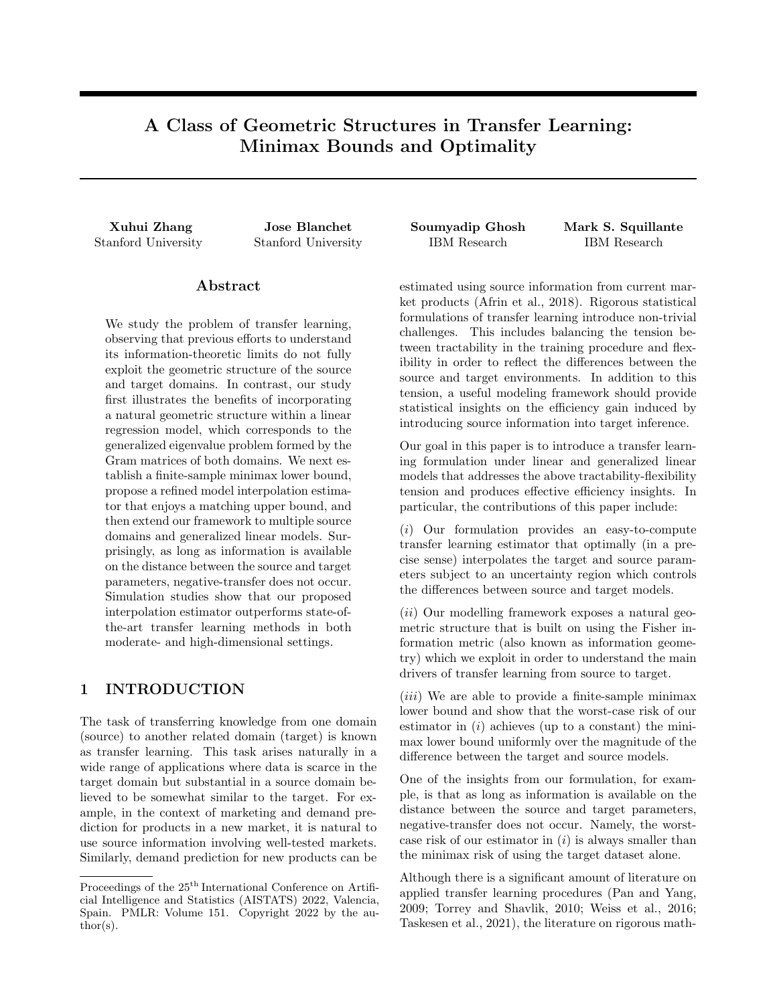

Figure 6: Simulation Results with A Larger Sample Size. Solid Lines (Dashed Lines) Represent the Proposed Method (Basic Pooling Method).

Table 3: Simulation Results Comparing the Proposed Method to Other Competing Methods in Moderate-Dimensions (Left-Half) and in High-Dimensions (Right-Half). "Basic" Represents the Lowest of the Errors Attained by the Three Basic Methods in Section 2.2. Numbers in Parentheses Are Standard Deviations.

|     | Basic      | Proposed  | Two-Step  | Trans-Lasso | Basic      | Proposed   | Two-Step    | Trans-Lasso |
|-----|------------|-----------|-----------|-------------|------------|------------|-------------|-------------|
| 0.5 | 6.8(2.1)   | 7.1(2.2)  | 10.6(3.6) | 1.1(2.4)    | 33.9(7.2)  | 30.9(7.6)  | 61.1(23.7)  | 34.2(7.5)   |
| 1.5 | 8.4(2.5)   | 8.5(2.7)  | 11.4(3.5) | 1.7(2.2)    | 36.3(6.2)  | 32.6(6.6)  | 62.9(22.2)  | 37.4(6.6)   |
| 2.5 | 10.5(2.7)  | 9.9(2.5)  | 14.1(4.5) | 2.5(2.6)    | 38.6(5.9)  | 34.3(6.1)  | 69.8(22.1)  | 40.5(6.3)   |
| 3.5 | 13.1(3.2)  | 11.6(3.1) | 15.5(4.6) | 4.8(3.4)    | 44.6(5.6)  | 38.3(6.4)  | 77.1(23.7)  | 47.6(6.0)   |
| 4.5 | 17.5(3.7)  | 14.5(3.9) | 17.6(6.2) | 8.7(4.5)    | 50.8(6.1)  | 41.5(5.8)  | 84.8(23.5)  | 55.2(7.4)   |
| 5.5 | 19.3(5.8)  | 15.3(4.8) | 18.7(7.2) | 11.7(4.9)   | 58.3(7.2)  | 45.4(8.1)  | 98.8(24.9)  | 63.6(8.1)   |
| 6.5 | 19.3(6.4)  | 17.3(6.0) | 19.7(7.7) | 16.6(6.6)   | 55.9(12.5) | 49.3(8.7)  | 115.9(29.4) | 74.4(7.5)   |
| 7.5 | 19.4(6.8)  | 18.3(6.4) | 19.3(7.5) | 20.4(7.2)   | 57.1(11.6) | 52.9(9.4)  | 130.3(30.1) | 87.3(9.8)   |
| 8.5 | 20.1(5.5)  | 18.5(6.1) | 19.0(6.4) | 21.7(9.4)   | 56.3(12.8) | 53.4(10.7) | 151.8(28.3) | 98.9(9.8)   |
| 9.5 | 21.4(12.4) | 18.8(6.9) | 20.5(7.6) | 23.2(9.0)   | 57.7(13.9) | 56.9(9.6)  | 167.6(34.5) | 112.5(10.8) |

results taken over 100 repeated independent experiments.

The Uber&Lyft dataset consists of 55094 observations for the source and 51235 observations for the target, from which we obtain and present in Figures 7 and 8 the corresponding ground-truth regression parameters as bar plots for the source and target models, respectively. We observe that the parameters are moderately sparse with the feature "surge multiplier" having much larger magnitudes in comparison with the other features. Figure 9 plots the difference between these two parameters, from which we again observe that the difference is sparse. We also compute the  $l_q$ -distance,  $q \n\geq \n\mathcal{D}, 0.5, 1g$ , between the source and target parameters and summarize these results in Table 4.

The results in Table 2 show that our proposed method attains a better performance on average, by a small margin relative to the basic methods and by a large margin relative to the two-step estimator and Trans-Lasso. We note that the  $l_q$  sparsity,  $q \geq [0, 1]$ , required by the last two methods does not reasonably capture the contrast between the source and target models of the real-world dataset, due to the moderate dimensions and the existence of one dominating feature In particular, while Bastani (2021) shows that the two-step joint estimator performs well when the difference of regression parameters is  $l_0$  sparse, their result applies to high-dimensions which is in contrast to the 32 dimensions of the dataset at hand. This helps to explain why their two-step joint estimator does not yield good performance in Table 2 where the moderate dimensions and a single feature of "surge multiplier" significantly affects the model. Li et al. (2020) show that their Trans-Lasso method performs well when the  $l_1$ -difference of the regression parameters (denoted by  $h_1$ ) satisfies  $h_1$  $\sqrt{\log d/n_I}$ , where s is the  $l_0$  sparsity of the target regression parameters. However, for the real-world dataset, we observe that  $s \approx 8$  (see Figure 8), that the factor  $\sqrt{\log(d)/n_{\mathcal{I}}}$  is smaller than 0.2, that  $h_q$  (i.e.,  $l_q$ -difference of the regression parameters) increases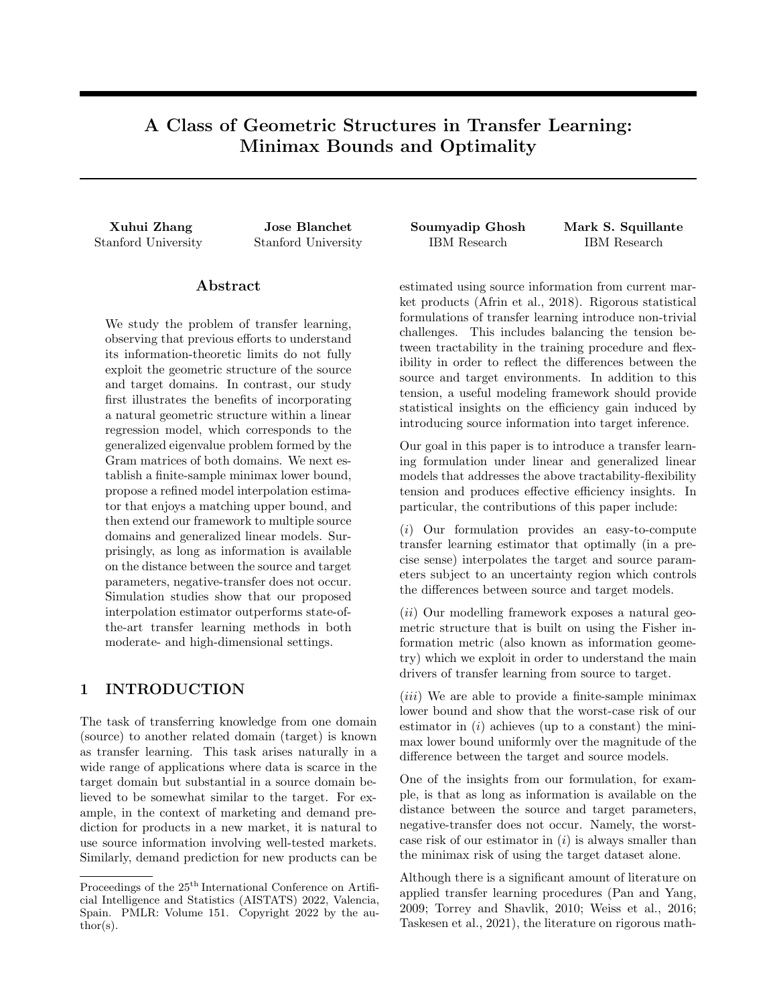as q decreases from 1 toward 0, and that  $h_q$  presents a discontinuity at  $q = 0$  with  $h_0 = 8$ , some of which is illustrated in Table 4. Hence, the  $l_1$  (or  $l_q$  in general) relationship assumed by Li et al. (2020) does not appear to hold for the dataset at hand. This in turn helps to explain why Trans-Lasso does not yield good performance in Table 2.



Figure 7: Estimated Regression Parameters of Source Model From the Entire Source Dataset.

Table 4: Results For Distance (under Different Sparsity Norms) between Source and Target Ground-truth Parameters on Uber&Lyft Data. The  $l_0$ -distance Has a Threshold of 0.1 to Determine Non-zero Entries.

| $l_0$ -distance $(h_0)   l_{0.5}$ -distance $(h_{0.5})   l_1$ -distance $(h_1)$ |       |
|---------------------------------------------------------------------------------|-------|
| 189.67                                                                          | 53.65 |